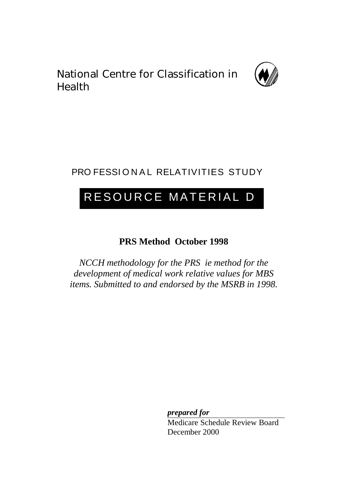National Centre for Classification in Health



## PRO FESSIONAL RELATIVITIES STUDY

# RESOURCE MATERIAL D

## **PRS Method October 1998**

*NCCH methodology for the PRS ie method for the development of medical work relative values for MBS items. Submitted to and endorsed by the MSRB in 1998.*

> *prepared for* Medicare Schedule Review Board December 2000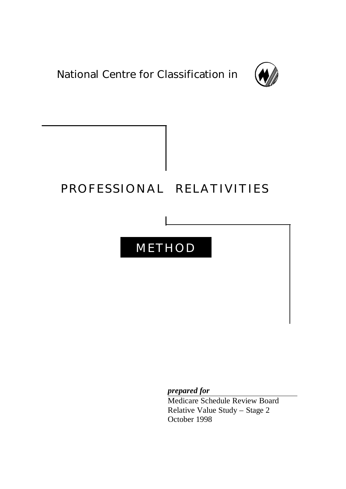National Centre for Classification in



## PROFESSIONAL RELATIVITIE S

STUD Y

## METHOD

*prepared for*

Medicare Schedule Review Board Relative Value Study – Stage 2 October 1998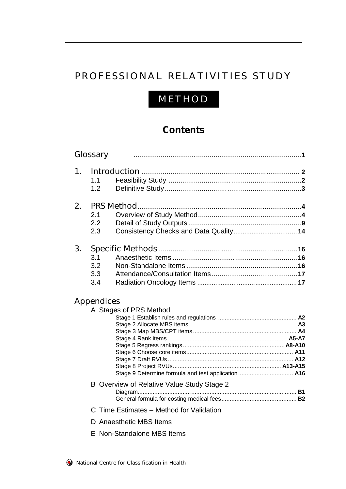## PROFESSIONAL RELATIVITIES STUDY

## METHO D

## **Contents**

| Stage 9 Determine formula and test application A16 |                                                                                                                                                                       |
|----------------------------------------------------|-----------------------------------------------------------------------------------------------------------------------------------------------------------------------|
|                                                    |                                                                                                                                                                       |
|                                                    |                                                                                                                                                                       |
|                                                    |                                                                                                                                                                       |
|                                                    |                                                                                                                                                                       |
|                                                    | Glossary<br>Appendices<br>A Stages of PRS Method<br>B Overview of Relative Value Study Stage 2<br>C Time Estimates - Method for Validation<br>D Anaesthetic MBS Items |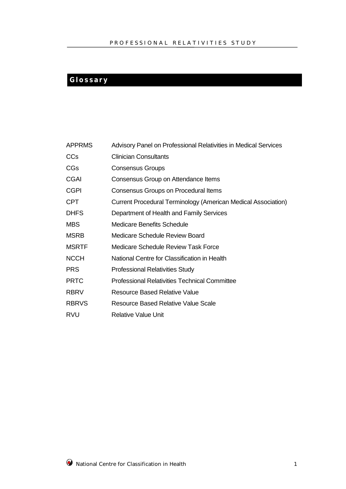## **Glossar y**

| <b>APPRMS</b> | Advisory Panel on Professional Relativities in Medical Services |
|---------------|-----------------------------------------------------------------|
| <b>CCs</b>    | <b>Clinician Consultants</b>                                    |
| <b>CGs</b>    | <b>Consensus Groups</b>                                         |
| <b>CGAI</b>   | Consensus Group on Attendance Items                             |
| <b>CGPI</b>   | Consensus Groups on Procedural Items                            |
| <b>CPT</b>    | Current Procedural Terminology (American Medical Association)   |
| <b>DHFS</b>   | Department of Health and Family Services                        |
| <b>MBS</b>    | <b>Medicare Benefits Schedule</b>                               |
| <b>MSRB</b>   | Medicare Schedule Review Board                                  |
| <b>MSRTF</b>  | Medicare Schedule Review Task Force                             |
| <b>NCCH</b>   | National Centre for Classification in Health                    |
| <b>PRS</b>    | <b>Professional Relativities Study</b>                          |
| <b>PRTC</b>   | <b>Professional Relativities Technical Committee</b>            |
| <b>RBRV</b>   | <b>Resource Based Relative Value</b>                            |
| <b>RBRVS</b>  | <b>Resource Based Relative Value Scale</b>                      |
| <b>RVU</b>    | Relative Value Unit                                             |

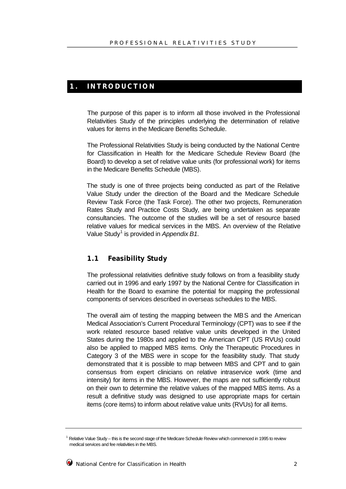## **1 . INTRODUCTIO N**

The purpose of this paper is to inform all those involved in the Professional Relativities Study of the principles underlying the determination of relative values for items in the Medicare Benefits Schedule.

The Professional Relativities Study is being conducted by the National Centre for Classification in Health for the Medicare Schedule Review Board (the Board) to develop a set of relative value units (for professional work) for items in the Medicare Benefits Schedule (MBS).

The study is one of three projects being conducted as part of the Relative Value Study under the direction of the Board and the Medicare Schedule Review Task Force (the Task Force). The other two projects, Remuneration Rates Study and Practice Costs Study, are being undertaken as separate consultancies. The outcome of the studies will be a set of resource based relative values for medical services in the MBS. An overview of the Relative Value Study<sup>1</sup> is provided in *Appendix B1*.

### **1.1 Feasibility Study**

The professional relativities definitive study follows on from a feasibility study carried out in 1996 and early 1997 by the National Centre for Classification in Health for the Board to examine the potential for mapping the professional components of services described in overseas schedules to the MBS.

The overall aim of testing the mapping between the MBS and the American Medical Association's Current Procedural Terminology (CPT) was to see if the work related resource based relative value units developed in the United States during the 1980s and applied to the American CPT (US RVUs) could also be applied to mapped MBS items. Only the Therapeutic Procedures in Category 3 of the MBS were in scope for the feasibility study. That study demonstrated that it is possible to map between MBS and CPT and to gain consensus from expert clinicians on relative intraservice work (time and intensity) for items in the MBS. However, the maps are not sufficiently robust on their own to determine the relative values of the mapped MBS items. As a result a definitive study was designed to use appropriate maps for certain items (core items) to inform about relative value units (RVUs) for all items.

<sup>&</sup>lt;sup>1</sup> Relative Value Study – this is the second stage of the Medicare Schedule Review which commenced in 1995 to review medical services and fee relativities in the MBS.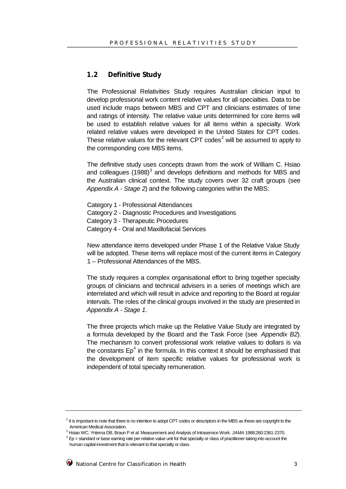#### **1.2 Definitive Study**

The Professional Relativities Study requires Australian clinician input to develop professional work content relative values for all specialties. Data to be used include maps between MBS and CPT and clinicians estimates of time and ratings of intensity. The relative value units determined for core items will be used to establish relative values for all items within a specialty. Work related relative values were developed in the United States for CPT codes. These relative values for the relevant CPT codes<sup>2</sup> will be assumed to apply to the corresponding core MBS items.

The definitive study uses concepts drawn from the work of William C. Hsiao and colleagues (1988)<sup>3</sup> and develops definitions and methods for MBS and the Australian clinical context. The study covers over 32 craft groups (see *Appendix A - Stage 2*) and the following categories within the MBS:

Category 1 - Professional Attendances Category 2 - Diagnostic Procedures and Investigations Category 3 - Therapeutic Procedures Category 4 - Oral and Maxillofacial Services

New attendance items developed under Phase 1 of the Relative Value Study will be adopted. These items will replace most of the current items in Category 1 – Professional Attendances of the MBS.

The study requires a complex organisational effort to bring together specialty groups of clinicians and technical advisers in a series of meetings which are interrelated and which will result in advice and reporting to the Board at regular intervals. The roles of the clinical groups involved in the study are presented in *Appendix A - Stage 1*.

The three projects which make up the Relative Value Study are integrated by a formula developed by the Board and the Task Force (see *Appendix B2*). The mechanism to convert professional work relative values to dollars is via the constants Ep<sup>4</sup> in the formula. In this context it should be emphasised that the development of item specific relative values for professional work is independent of total specialty remuneration.

 $^2$  It is important to note that there is no intention to adopt CPT codes or descriptors in the MBS as these are copyright to the American Medical Association.

<sup>3</sup> Hsiao WC, Yntema DB, Braun P et al: Measurement and Analysis of Intraservice Work: *JAMA* 1988;260:2361-2370.

 $^4$  Ep = standard or base earning rate per relative value unit for that specialty or class of practitioner taking into account the human capital investment that is relevant to that specialty or class.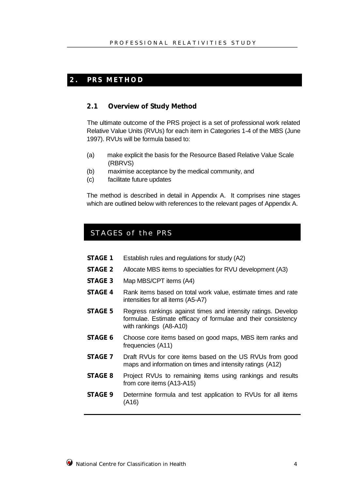## **2 . PRS METHO D**

#### **2.1 Overview of Study Method**

The ultimate outcome of the PRS project is a set of professional work related Relative Value Units (RVUs) for each item in Categories 1-4 of the MBS (June 1997). RVUs will be formula based to:

- (a) make explicit the basis for the Resource Based Relative Value Scale (RBRVS)
- (b) maximise acceptance by the medical community, and
- (c) facilitate future updates

The method is described in detail in Appendix A. It comprises nine stages which are outlined below with references to the relevant pages of Appendix A.

## STAGES of the PRS

- **STAGE 1** Establish rules and regulations for study (A2)
- **STAGE 2** Allocate MBS items to specialties for RVU development (A3)
- **STAGE 3** Map MBS/CPT items (A4)
- **STAGE 4** Rank items based on total work value, estimate times and rate intensities for all items (A5-A7)
- **STAGE 5** Regress rankings against times and intensity ratings. Develop formulae. Estimate efficacy of formulae and their consistency with rankings (A8-A10)
- **STAGE 6** Choose core items based on good maps, MBS item ranks and frequencies (A11)
- **STAGE 7** Draft RVUs for core items based on the US RVUs from good maps and information on times and intensity ratings (A12)
- **STAGE 8** Project RVUs to remaining items using rankings and results from core items (A13-A15)
- **STAGE 9** Determine formula and test application to RVUs for all items (A16)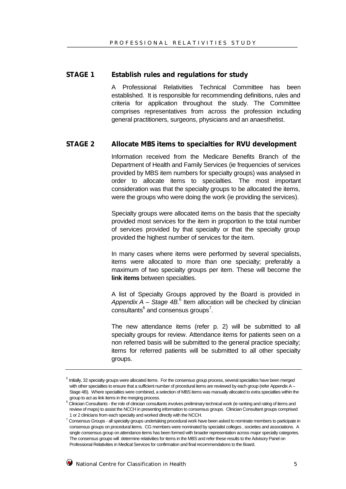#### **STAGE 1 Establish rules and regulations for study**

A Professional Relativities Technical Committee has been established. It is responsible for recommending definitions, rules and criteria for application throughout the study. The Committee comprises representatives from across the profession including general practitioners, surgeons, physicians and an anaesthetist.

#### **STAGE 2 Allocate MBS items to specialties for RVU development**

Information received from the Medicare Benefits Branch of the Department of Health and Family Services (ie frequencies of services provided by MBS item numbers for specialty groups) was analysed in order to allocate items to specialties. The most important consideration was that the specialty groups to be allocated the items, were the groups who were doing the work (ie providing the services).

Specialty groups were allocated items on the basis that the specialty provided most services for the item in proportion to the total number of services provided by that specialty or that the specialty group provided the highest number of services for the item.

In many cases where items were performed by several specialists, items were allocated to more than one specialty; preferably a maximum of two specialty groups per item. These will become the **link items** between specialties.

A list of Specialty Groups approved by the Board is provided in Appendix A - Stage 4B.<sup>5</sup> Item allocation will be checked by clinician consultants $^6$  and consensus groups<sup>7</sup>.

The new attendance items (refer p. 2) will be submitted to all specialty groups for review. Attendance items for patients seen on a non referred basis will be submitted to the general practice specialty; items for referred patients will be submitted to all other specialty groups.

<sup>&</sup>lt;sup>5</sup> Initially, 32 specialty groups were allocated items. For the consensus group process, several specialties have been merged with other specialties to ensure that a sufficient number of procedural items are reviewed by each group (refer Appendix A – Stage 4B). Where specialties were combined, a selection of MBS items was manually allocated to extra specialties within the group to act as link items in the merging process.

 $^6$  Clinician Consultants - the role of clinician consultants involves preliminary technical work (ie ranking and rating of items and review of maps) to assist the NCCH in presenting information to consensus groups. Clinician Consultant groups comprised 1 or 2 clinicians from each specialty and worked directly with the NCCH.

 $^7$  Consensus Groups - all specialty groups undertaking procedural work have been asked to nominate members to participate in consensus groups on procedural items. CG members were nominated by specialist colleges , societies and associations. A single consensus group on attendance items has been formed with broader representation across major specialty categories. The consensus groups will determine relativities for items in the MBS and refer these results to the Advisory Panel on Professional Relativities in Medical Services for confirmation and final recommendations to the Board.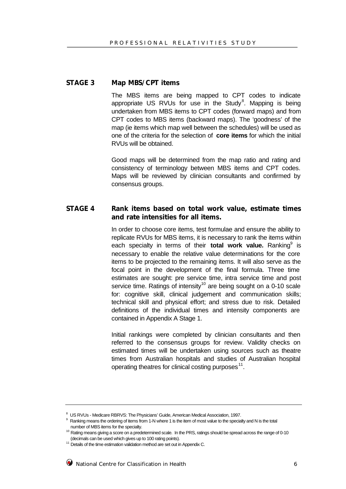#### **STAGE 3 Map MBS/CPT items**

The MBS items are being mapped to CPT codes to indicate appropriate US RVUs for use in the Study<sup>8</sup>. Mapping is being undertaken from MBS items to CPT codes (forward maps) and from CPT codes to MBS items (backward maps). The 'goodness' of the map (ie items which map well between the schedules) will be used as one of the criteria for the selection of **core items** for which the initial RVUs will be obtained.

Good maps will be determined from the map ratio and rating and consistency of terminology between MBS items and CPT codes. Maps will be reviewed by clinician consultants and confirmed by consensus groups.

### **STAGE 4 Rank items based on total work value, estimate times and rate intensities for all items.**

In order to choose core items, test formulae and ensure the ability to replicate RVUs for MBS items, it is necessary to rank the items within each specialty in terms of their **total work value.** Ranking<sup>9</sup> is necessary to enable the relative value determinations for the core items to be projected to the remaining items. It will also serve as the focal point in the development of the final formula. Three time estimates are sought: pre service time, intra service time and post service time. Ratings of intensity<sup>10</sup> are being sought on a 0-10 scale for: cognitive skill, clinical judgement and communication skills; technical skill and physical effort; and stress due to risk. Detailed definitions of the individual times and intensity components are contained in Appendix A Stage 1.

Initial rankings were completed by clinician consultants and then referred to the consensus groups for review. Validity checks on estimated times will be undertaken using sources such as theatre times from Australian hospitals and studies of Australian hospital operating theatres for clinical costing purposes<sup>11</sup>.

<sup>&</sup>lt;sup>8</sup> US RVUs - Medicare RBRVS: The Physicians' Guide, American Medical Association, 1997.<br><sup>9</sup> Penking means the exdering of items from 1 Nurbors 1 in the item of mesturike to the exercis

Ranking means the ordering of items from 1-N where 1 is the item of most value to the specialty and N is the total number of MBS items for the specialty.

<sup>&</sup>lt;sup>10</sup> Rating means giving a score on a predetermined scale. In the PRS, ratings should be spread across the range of 0-10 (decimals can be used which gives up to 100 rating points).

<sup>&</sup>lt;sup>11</sup> Details of the time estimation validation method are set out in Appendix C.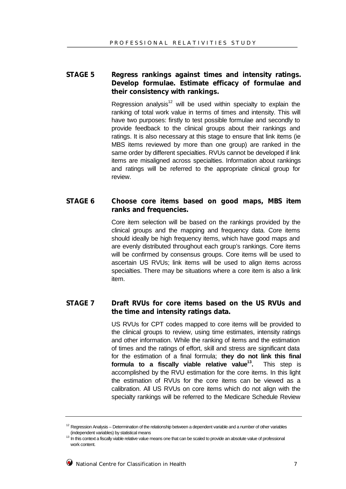## **STAGE 5 Regress rankings against times and intensity ratings. Develop formulae. Estimate efficacy of formulae and their consistency with rankings.**

Regression analysis<sup>12</sup> will be used within specialty to explain the ranking of total work value in terms of times and intensity. This will have two purposes: firstly to test possible formulae and secondly to provide feedback to the clinical groups about their rankings and ratings. It is also necessary at this stage to ensure that link items (ie MBS items reviewed by more than one group) are ranked in the same order by different specialties. RVUs cannot be developed if link items are misaligned across specialties. Information about rankings and ratings will be referred to the appropriate clinical group for review.

### **STAGE 6 Choose core items based on good maps, MBS item ranks and frequencies.**

Core item selection will be based on the rankings provided by the clinical groups and the mapping and frequency data. Core items should ideally be high frequency items, which have good maps and are evenly distributed throughout each group's rankings. Core items will be confirmed by consensus groups. Core items will be used to ascertain US RVUs; link items will be used to align items across specialties. There may be situations where a core item is also a link item.

### **STAGE 7 Draft RVUs for core items based on the US RVUs and the time and intensity ratings data.**

US RVUs for CPT codes mapped to core items will be provided to the clinical groups to review, using time estimates, intensity ratings and other information. While the ranking of items and the estimation of times and the ratings of effort, skill and stress are significant data for the estimation of a final formula; **they do not link this final formula to a fiscally viable relative value<sup>13</sup> .** This step is accomplished by the RVU estimation for the core items. In this light the estimation of RVUs for the core items can be viewed as a calibration. All US RVUs on core items which do not align with the specialty rankings will be referred to the Medicare Schedule Review

 $12$  Regression Analysis – Determination of the relationship between a dependent variable and a number of other variables (independent variables) by statistical means

<sup>13</sup> In this context a fiscally viable relative value means one that can be scaled to provide an absolute value of professional work content.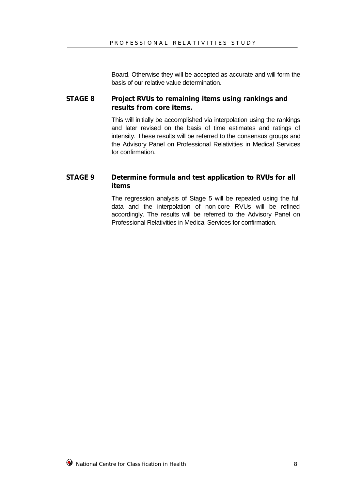Board. Otherwise they will be accepted as accurate and will form the basis of our relative value determination.

#### **STAGE 8 Project RVUs to remaining items using rankings and results from core items.**

This will initially be accomplished via interpolation using the rankings and later revised on the basis of time estimates and ratings of intensity. These results will be referred to the consensus groups and the Advisory Panel on Professional Relativities in Medical Services for confirmation.

## **STAGE 9 Determine formula and test application to RVUs for all items**

The regression analysis of Stage 5 will be repeated using the full data and the interpolation of non-core RVUs will be refined accordingly. The results will be referred to the Advisory Panel on Professional Relativities in Medical Services for confirmation.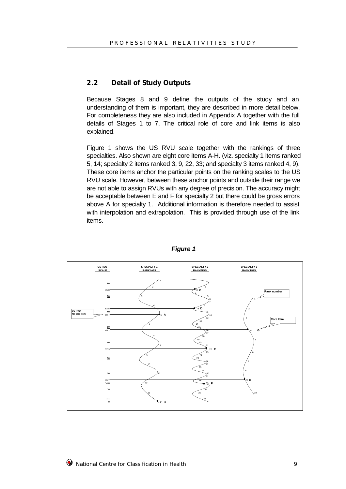#### **2.2 Detail of Study Outputs**

Because Stages 8 and 9 define the outputs of the study and an understanding of them is important, they are described in more detail below. For completeness they are also included in Appendix A together with the full details of Stages 1 to 7. The critical role of core and link items is also explained.

Figure 1 shows the US RVU scale together with the rankings of three specialties. Also shown are eight core items A-H. (viz. specialty 1 items ranked 5, 14; specialty 2 items ranked 3, 9, 22, 33; and specialty 3 items ranked 4, 9). These core items anchor the particular points on the ranking scales to the US RVU scale. However, between these anchor points and outside their range we are not able to assign RVUs with any degree of precision. The accuracy might be acceptable between E and F for specialty 2 but there could be gross errors above A for specialty 1. Additional information is therefore needed to assist with interpolation and extrapolation. This is provided through use of the link items.



*Figure 1*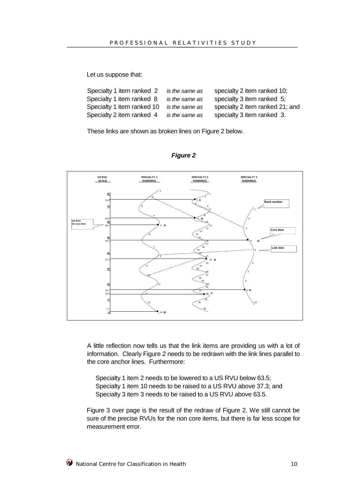Let us suppose that:

| Specialty 1 item ranked 2  | is the same as | specialty 2 item ranked 10;     |
|----------------------------|----------------|---------------------------------|
| Specialty 1 item ranked 8  | is the same as | specialty 3 item ranked 5;      |
| Specialty 1 item ranked 10 | is the same as | specialty 2 item ranked 21; and |
| Specialty 2 item ranked 4  | is the same as | specialty 3 item ranked 3.      |

These links are shown as broken lines on Figure 2 below.





A little reflection now tells us that the link items are providing us with a lot of information. Clearly Figure 2 needs to be redrawn with the link lines parallel to the core anchor lines. Furthermore:

Specialty 1 item 2 needs to be lowered to a US RVU below 63.5; Specialty 1 item 10 needs to be raised to a US RVU above 37.3; and Specialty 3 item 3 needs to be raised to a US RVU above 63.5.

Figure 3 over page is the result of the redraw of Figure 2. We still cannot be sure of the precise RVUs for the non core items, but there is far less scope for measurement error.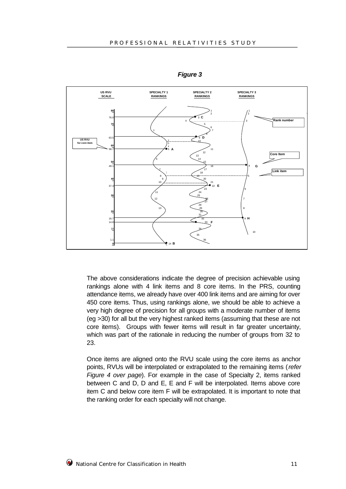

*Figure 3*

The above considerations indicate the degree of precision achievable using rankings alone with 4 link items and 8 core items. In the PRS, counting attendance items, we already have over 400 link items and are aiming for over 450 core items. Thus, using rankings alone, we should be able to achieve a very high degree of precision for all groups with a moderate number of items (eg >30) for all but the very highest ranked items (assuming that these are not core items). Groups with fewer items will result in far greater uncertainty, which was part of the rationale in reducing the number of groups from 32 to 23.

Once items are aligned onto the RVU scale using the core items as anchor points, RVUs will be interpolated or extrapolated to the remaining items (*refer Figure 4 over page*). For example in the case of Specialty 2, items ranked between C and D, D and E, E and F will be interpolated. Items above core item C and below core item F will be extrapolated. It is important to note that the ranking order for each specialty will not change.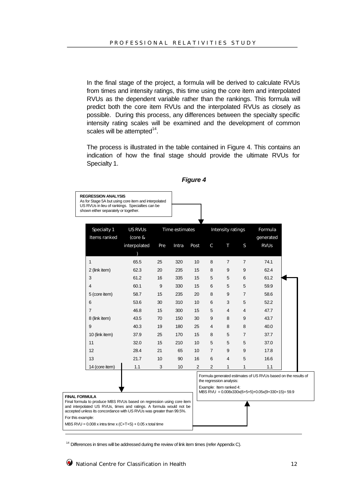In the final stage of the project, a formula will be derived to calculate RVUs from times and intensity ratings, this time using the core item and interpolated RVUs as the dependent variable rather than the rankings. This formula will predict both the core item RVUs and the interpolated RVUs as closely as possible. During this process, any differences between the specialty specific intensity rating scales will be examined and the development of common scales will be attempted $^{14}$ .

The process is illustrated in the table contained in Figure 4. This contains an indication of how the final stage should provide the ultimate RVUs for Specialty 1.

#### *Figure 4*

Specialty 1 US RVUs Time estimates Intensity ratings Formula Items ranked (core & interpolated  $\lambda$ Pre Intra Post C T S generated RVUs 1 65.5 25 320 10 8 7 7 74.1 2 (link item) 62.3 20 235 15 8 9 9 62.4 3 61.2 16 335 15 5 5 6 61.2 4 60.1 9 330 15 6 5 5 59.9 5 (core item) 58.7 15 235 20 8 9 7 58.6 6 53.6 30 310 10 6 3 5 52.2 7 46.8 15 300 15 5 4 4 47.7 8 (link item) 43.5 70 150 30 9 8 9 43.7 9 40.3 19 180 25 4 8 8 40.0 10 (link item) 37.9 25 170 15 8 5 7 37.7 11 32.0 15 210 10 5 5 5 37.0 12 28.4 21 65 10 7 9 9 17.8 13 21.7 10 90 16 6 4 5 16.6 14 (core item) 1.1 3 10 2 2 1 1 1.1

Formula generated estimates of US RVUs based on the results of the regression analysis: Example: Item ranked 4: MBS RVU = 0.008x330x(6+5+5)+0.05x(9+330+15)= 59.9 **FINAL FORMULA** Final formula to produce MBS RVUs based on regression using core item and interpolated US RVUs, times and ratings. A formula would not be accepted unless its concordance with US RVUs was greater than 99.5%. For this example: MBS  $RVU = 0.008$  x intra time x  $(C+T+S) + 0.05$  x total time

 $14$  Differences in times will be addressed during the review of link item times (refer Appendix C).

**REGRESSION ANALYSIS** As for Stage 5A but using core item and interpolated US RVUs in lieu of rankings. Specialties can be shown either separately or together.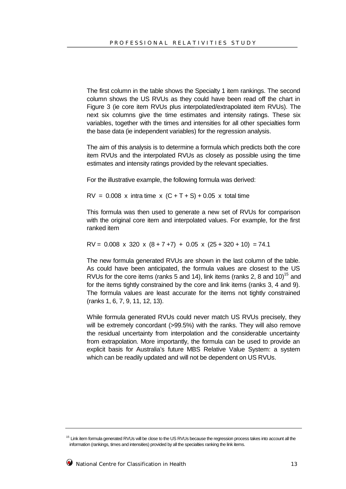The first column in the table shows the Specialty 1 item rankings. The second column shows the US RVUs as they could have been read off the chart in Figure 3 (ie core item RVUs plus interpolated/extrapolated item RVUs). The next six columns give the time estimates and intensity ratings. These six variables, together with the times and intensities for all other specialties form the base data (ie independent variables) for the regression analysis.

The aim of this analysis is to determine a formula which predicts both the core item RVUs and the interpolated RVUs as closely as possible using the time estimates and intensity ratings provided by the relevant specialties.

For the illustrative example, the following formula was derived:

 $RV = 0.008$  x intra time x  $(C + T + S) + 0.05$  x total time

This formula was then used to generate a new set of RVUs for comparison with the original core item and interpolated values. For example, for the first ranked item

 $RV = 0.008 \times 320 \times (8 + 7 + 7) + 0.05 \times (25 + 320 + 10) = 74.1$ 

The new formula generated RVUs are shown in the last column of the table. As could have been anticipated, the formula values are closest to the US RVUs for the core items (ranks 5 and 14), link items (ranks 2, 8 and 10)<sup>15</sup> and for the items tightly constrained by the core and link items (ranks 3, 4 and 9). The formula values are least accurate for the items not tightly constrained (ranks 1, 6, 7, 9, 11, 12, 13).

While formula generated RVUs could never match US RVUs precisely, they will be extremely concordant (>99.5%) with the ranks. They will also remove the residual uncertainty from interpolation and the considerable uncertainty from extrapolation. More importantly, the formula can be used to provide an explicit basis for Australia's future MBS Relative Value System: a system which can be readily updated and will not be dependent on US RVUs.

 $15$  Link item formula generated RVUs will be close to the US RVUs because the regression process takes into account all the information (rankings, times and intensities) provided by all the specialties ranking the link items.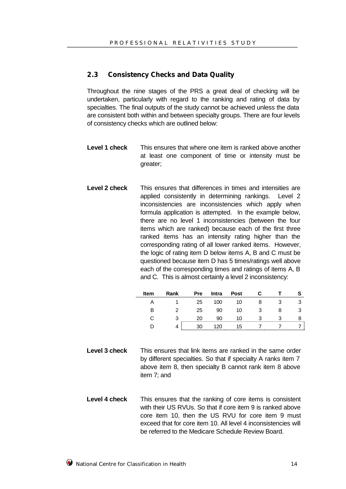#### **2.3 Consistency Checks and Data Quality**

Throughout the nine stages of the PRS a great deal of checking will be undertaken, particularly with regard to the ranking and rating of data by specialties. The final outputs of the study cannot be achieved unless the data are consistent both within and between specialty groups. There are four levels of consistency checks which are outlined below:

- **Level 1 check** This ensures that where one item is ranked above another at least one component of time or intensity must be greater;
- **Level 2 check** This ensures that differences in times and intensities are applied consistently in determining rankings. Level 2 inconsistencies are inconsistencies which apply when formula application is attempted. In the example below, there are no level 1 inconsistencies (between the four items which are ranked) because each of the first three ranked items has an intensity rating higher than the corresponding rating of all lower ranked items. However, the logic of rating item D below items A, B and C must be questioned because item D has 5 times/ratings well above each of the corresponding times and ratings of items A, B and C. This is almost certainly a level 2 inconsistency:

| <b>Item</b> | Rank | <b>Pre</b> | <b>Intra</b> | <b>Post</b> |  |   |
|-------------|------|------------|--------------|-------------|--|---|
|             |      | 25         | 100          | 10          |  |   |
| В           | 2    | 25         | 90           | 10          |  | 3 |
|             | 3    | 20         | 90           | 10          |  |   |
|             | 4    | 30         | 120          | 15          |  |   |

- **Level 3 check** This ensures that link items are ranked in the same order by different specialties. So that if specialty A ranks item 7 above item 8, then specialty B cannot rank item 8 above item 7; and
- **Level 4 check** This ensures that the ranking of core items is consistent with their US RVUs. So that if core item 9 is ranked above core item 10, then the US RVU for core item 9 must exceed that for core item 10. All level 4 inconsistencies will be referred to the Medicare Schedule Review Board.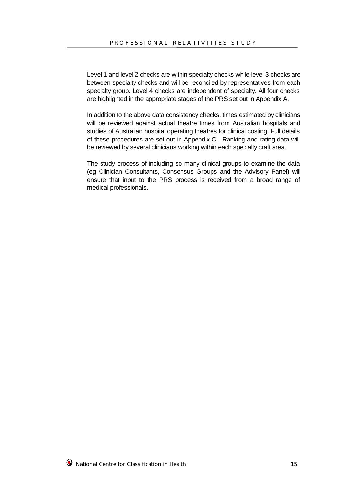Level 1 and level 2 checks are within specialty checks while level 3 checks are between specialty checks and will be reconciled by representatives from each specialty group. Level 4 checks are independent of specialty. All four checks are highlighted in the appropriate stages of the PRS set out in Appendix A.

In addition to the above data consistency checks, times estimated by clinicians will be reviewed against actual theatre times from Australian hospitals and studies of Australian hospital operating theatres for clinical costing. Full details of these procedures are set out in Appendix C. Ranking and rating data will be reviewed by several clinicians working within each specialty craft area.

The study process of including so many clinical groups to examine the data (eg Clinician Consultants, Consensus Groups and the Advisory Panel) will ensure that input to the PRS process is received from a broad range of medical professionals.

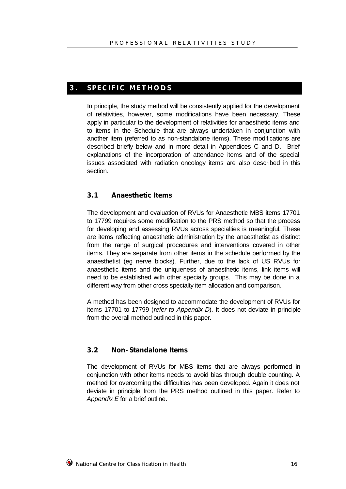#### **3 . SPECIFIC METHOD S**

In principle, the study method will be consistently applied for the development of relativities, however, some modifications have been necessary. These apply in particular to the development of relativities for anaesthetic items and to items in the Schedule that are always undertaken in conjunction with another item (referred to as non-standalone items). These modifications are described briefly below and in more detail in Appendices C and D. Brief explanations of the incorporation of attendance items and of the special issues associated with radiation oncology items are also described in this section.

## **3.1 Anaesthetic Items**

The development and evaluation of RVUs for Anaesthetic MBS items 17701 to 17799 requires some modification to the PRS method so that the process for developing and assessing RVUs across specialties is meaningful. These are items reflecting anaesthetic administration by the anaesthetist as distinct from the range of surgical procedures and interventions covered in other items. They are separate from other items in the schedule performed by the anaesthetist (eg nerve blocks). Further, due to the lack of US RVUs for anaesthetic items and the uniqueness of anaesthetic items, link items will need to be established with other specialty groups. This may be done in a different way from other cross specialty item allocation and comparison.

A method has been designed to accommodate the development of RVUs for items 17701 to 17799 (*refer to Appendix D*). It does not deviate in principle from the overall method outlined in this paper.

#### **3.2 Non-Standalone Items**

The development of RVUs for MBS items that are always performed in conjunction with other items needs to avoid bias through double counting. A method for overcoming the difficulties has been developed. Again it does not deviate in principle from the PRS method outlined in this paper. Refer to *Appendix E* for a brief outline.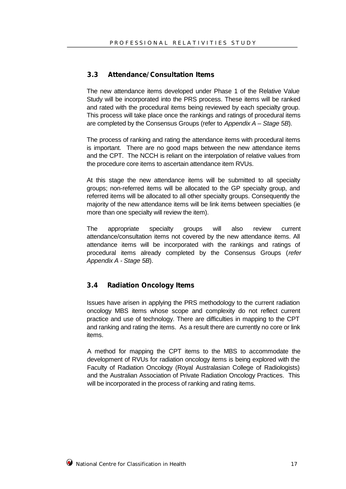#### **3.3 Attendance/Consultation Items**

The new attendance items developed under Phase 1 of the Relative Value Study will be incorporated into the PRS process. These items will be ranked and rated with the procedural items being reviewed by each specialty group. This process will take place once the rankings and ratings of procedural items are completed by the Consensus Groups (refer to *Appendix A – Stage 5B*).

The process of ranking and rating the attendance items with procedural items is important. There are no good maps between the new attendance items and the CPT. The NCCH is reliant on the interpolation of relative values from the procedure core items to ascertain attendance item RVUs.

At this stage the new attendance items will be submitted to all specialty groups; non-referred items will be allocated to the GP specialty group, and referred items will be allocated to all other specialty groups. Consequently the majority of the new attendance items will be link items between specialties (ie more than one specialty will review the item).

The appropriate specialty groups will also review current attendance/consultation items not covered by the new attendance items. All attendance items will be incorporated with the rankings and ratings of procedural items already completed by the Consensus Groups (*refer Appendix A - Stage 5B*).

#### **3.4 Radiation Oncology Items**

Issues have arisen in applying the PRS methodology to the current radiation oncology MBS items whose scope and complexity do not reflect current practice and use of technology. There are difficulties in mapping to the CPT and ranking and rating the items. As a result there are currently no core or link items.

A method for mapping the CPT items to the MBS to accommodate the development of RVUs for radiation oncology items is being explored with the Faculty of Radiation Oncology (Royal Australasian College of Radiologists) and the Australian Association of Private Radiation Oncology Practices. This will be incorporated in the process of ranking and rating items.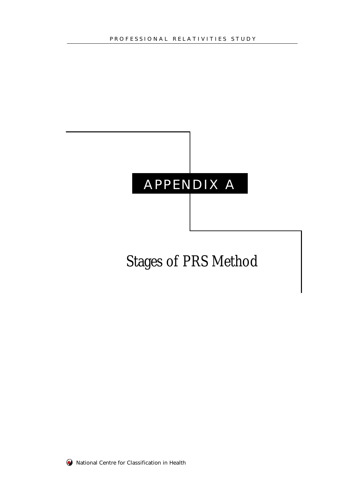# APPENDIX A

# Stages of PRS Method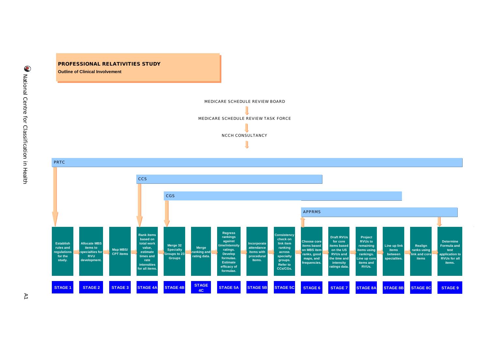## **PROFESSIONAL RELATIVITIES STUDY PROFESSIONAL RELATIVITIES STUDY Outline of Clinical Involvement Outline of Clinical Involvement**

MEDICARE SCHEDULE REVIEW BOARD

MEDICARE SCHEDULE REVIEW TASK FORCE NCCH CONSULTANCY

**Establish rules and regulations for the study. Allocate MBS items to specialties for RVU development. Map MBS/ CPT items Rank items based on total work value, estimate times and rate intensities for all items. Merge 32 Specialty Groups to 23 Groups Merge ranking and rating data. Regress rankings against time/intensity ratings. Develop formulae. Estimate efficacy of formulae. Incorporate attendance items with procedural Items. Consistency check on link item ranking across specialty groups. Refer to CCs/CGs. STAGE 1 STAGE 2 STAGE 3 STAGE 4A STAGE 4B STAGE 4C STAGE 5A STAGE 5B STAGE 5C** PRTC **CCS** CGS **Choose core items based on MBS item ranks, good maps, and frequencies. Draft RVUs for core items based on the US RVUs and the time and intensity ratings data. Project RVUs to remaining items using rankings. Line up core items and RVUs. Line up link items between specialties. Realign ranks using link and core items Determine Formula and test application to RVUs for all items. STAGE 6 STAGE 7 STAGE 8A STAGE 8B STAGE 8C STAGE 9** APPRMS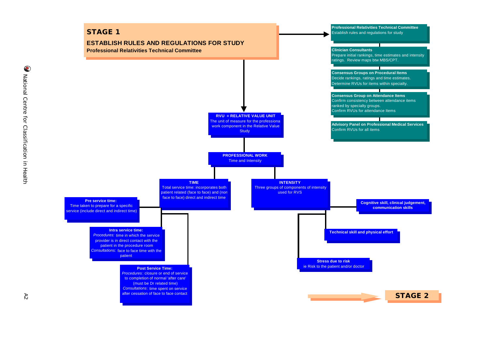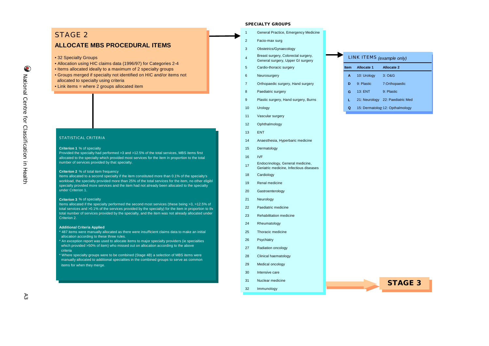### STAGE 2

#### **ALLOCATE MBS PROCEDURAL ITEMS**

• 32 Specialty Groups

- Allocation using HIC claims data (1996/97) for Categories 2-4
- Items allocated ideally to a maximum of 2 specialty groups
- Groups merged if specialty not identified on HIC and/or items not allocated to specialty using criteria
- Link items = where 2 groups allocated item

#### STATISTICAL CRITERIA

#### **Criterion 1** % of specialty

Provided the specialty had performed >3 and >12.5% of the total services, MBS items first allocated to the specialty which provided most services for the item in proportion to the total number of services provided by that specialty.

#### **Criterion 2** % of total item frequency

Items allocated to a second specialty if the item constituted more than 0.1% of the specialty's workload, the specialty provided more than 25% of the total services for the item, no other eligibl specialty provided more services and the item had not already been allocated to the specialty under Criterion 1.

#### **Criterion 3** % of specialty

Items allocated if the specialty performed the second most services (these being >3, >12.5% of total services and >0.1% of the services provided by the specialty) for the item in proportion to the total number of services provided by the specialty, and the item was not already allocated under Criterion 2.

#### **Additional Criteria Applied**

- \* 487 items were manually allocated as there were insufficient claims data to make an initial allocation according to these three rules.
- \* An exception report was used to allocate items to major specialty providers (ie specialties which provided >50% of item) who missed out on allocation according to the above criteria

\* Where specialty groups were to be combined (Stage 4B) a selection of MBS items were manually allocated to additional specialties in the combined groups to serve as common items for when they merge.

#### **SPECIALTY GROUPS**

- <sup>1</sup> General Practice, Emergency Medicine 2 Facio-max surg
	-
- 3 Obstetrics/Gynaecology
	- Breast surgery, Colorectal surgery, General surgery, Upper GI surgery
- 5 Cardio-thoracic surgery
- 6 Neurosurgery

 $\overline{A}$ 

- 7 Orthopaedic surgery, Hand surgery
- 8 Paediatric surgery
- 9 Plastic surgery, Hand surgery, Burns
- 10 Urology
- 11 Vascular surgery
- 12 Ophthalmology
- 13 ENT
- 14 Anaesthesia, Hyperbaric medicine
- 15 Dermatology
- 16 IVF
- <sup>17</sup> Endocrinology, General medicine, Geriatric medicine, Infectious diseases
- 18 Cardiology
- 19 Renal medicine
- 20 Gastroenterology
- 21 Neurology
- 22 Paediatric medicine
- 23 Rehabilitation medicine
- 24 Rheumatology
- 25 Thoracic medicine
- 26 Psychiatry
- 27 Radiation oncology
- 28 Clinical haematology
- 29 Medical oncology
- 30 Intensive care
- 31 Nuclear medicine
- 32 Immunology

| LINK ITEMS (example only) |                   |                                  |  |  |  |  |  |  |  |  |
|---------------------------|-------------------|----------------------------------|--|--|--|--|--|--|--|--|
| <b>Item</b>               | <b>Allocate 1</b> | <b>Allocate 2</b>                |  |  |  |  |  |  |  |  |
| A                         | 10: Urology       | 3:O&G                            |  |  |  |  |  |  |  |  |
| D                         | 9: Plastic        | 7:Orthopaedic                    |  |  |  |  |  |  |  |  |
| G                         | 13:ENT            | 9: Plastic                       |  |  |  |  |  |  |  |  |
| L                         |                   | 21: Neurology 22: Paediatric Med |  |  |  |  |  |  |  |  |
| Q                         |                   | 15: Dermatology 12: Opthalmology |  |  |  |  |  |  |  |  |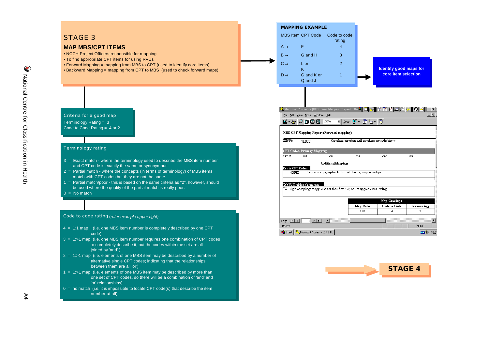

 $\bigcirc$ 

- alternative single CPT codes; indicating that the relationships between them are all 'or')
- $1 = 1$ :>1 map (i.e. elements of one MBS item may be described by more than one set of CPT codes, so there will be a combination of 'and' and 'or' relationships)
- $0 =$  no match (i.e. it is impossible to locate CPT code(s) that describe the item number at all)

**STAGE 4**<u> The Common State of the Common State of the Common State of the Common State of the Common State of the Common State of the Common State of the Common State of the Common State of the Common State of the Common State of </u>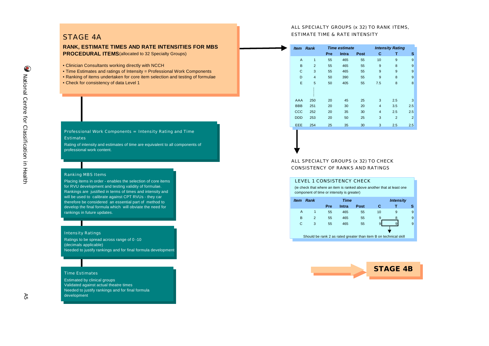#### ALL SPECIALTY GROUPS (x 32) TO RANK ITEMS, ESTIMATE TIME & RATE INTENSITY

#### STAGE 4A

#### **RANK, ESTIMATE TIMES AND RATE INTENSITIES FOR MBS PROCEDURAL ITEMS** (allocated to 32 Specialty Groups)

- Clinician Consultants working directly with NCCH
- Time Estimates and ratings of Intensity = Professional Work Components
- Ranking of items undertaken for core item selection and testing of formulae
- Check for consistency of data Level 1

#### Professional Work Components = Intensity Rating and Time **Estimates**

Rating of intensity and estimates of time are equivalent to all components of professional work content.

#### Ranking MBS Items

Placing items in order - enables the selection of core items for RVU development and testing validity of formulae. Rankings are justified in terms of times and intensity and will be used to calibrate against CPT RVUs - they car therefore be considered an essential part of method to develop the final formula which will obviate the need for rankings in future updates.

#### Intensity Ratings

Ratings to be spread across range of 0 -10 (decimals applicable) Needed to justify rankings and for final formula development

#### Time Estimates

Estimated by clinical groups Validated against actual theatre times Needed to justify rankings and for final formula development

| ltem           | <b>Rank</b>    | <b>Intensity Rating</b><br><b>Time estimate</b> |       |      |                |                |                |  |
|----------------|----------------|-------------------------------------------------|-------|------|----------------|----------------|----------------|--|
|                |                | Pre                                             | Intra | Post | С              | т              | s              |  |
| $\overline{A}$ | $\mathbf{1}$   | 55                                              | 465   | 55   | 10             | 9              | 9              |  |
| B              | $\overline{2}$ | 55                                              | 465   | 55   | 9              | 8              | 9              |  |
| C              | 3              | 55                                              | 465   | 55   | 9              | 9              | 9              |  |
| D              | $\overline{4}$ | 50                                              | 390   | 55   | 9              | 8              | 9              |  |
| E              | 5              | 50                                              | 405   | 55   | 7.5            | 8              | 8              |  |
|                |                |                                                 |       |      |                |                |                |  |
| AAA            | 250            | 20                                              | 45    | 25   | 3              | 2.5            | 3              |  |
| <b>BBB</b>     | 251            | 20                                              | 30    | 20   | $\overline{4}$ | 3.5            | 2.5            |  |
| CCC            | 252            | 20                                              | 35    | 30   | $\overline{4}$ | 2.5            | 2.5            |  |
| <b>DDD</b>     | 253            | 20                                              | 50    | 25   | 3              | $\overline{2}$ | $\overline{2}$ |  |
| EEE            | 254            | 25                                              | 35    | 30   | 3              | 2.5            | 2.5            |  |
|                |                |                                                 |       |      |                |                |                |  |

ALL SPECIALTY GROUPS (x 32) TO CHECK CONSISTENCY OF RANKS AND RATINGS

#### LEVEL 1 CONSISTENCY CHECK *Item Rank Time Intensity* **Pre Intra Post C T S** A 1 55 465 55 10 9 9 B 2 55 465 55 9 8 9 C 3 55 465 55 9 9 9 Should be rank 2 as rated greater than item B on technical skill (ie check that where an item is ranked above another that at least one component of time or intensity is greater)

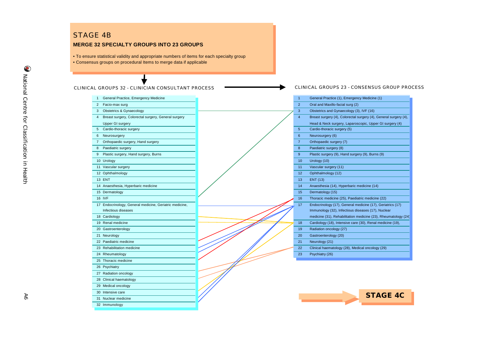#### **MERGE 32 SPECIALTY GROUPS INTO 23 GROUPS**

• To ensure statistical validity and appropriate numbers of items for each specialty group • Consensus groups on procedural Items to merge data if applicable

CLINICAL GROUPS 32 - CLINICIAN CONSULTANT PROCESS

- 1 General Practice, Emergency Medicine
- 2 Facio-max surg 3 Obstetrics & Gynaecology
- 
- 4 Breast surgery, Colorectal surgery, General surgery
- 
- 5 Cardio-thoracic surgery 5 Cardio-thoracic surgery (5)
- 6 Neurosurgery 6 Neurosurgery (6)
- 7 Orthopaedic surgery, Hand surgery
- 8 Paediatric surgery
- 9 Plastic surgery, Hand surgery, Burns
- 10 Urology 10 Urology (10)
- 11 Vascular surgery
- 12 Ophthalmology 12 Ophthalmology (12)
- 14 Anaesthesia, Hyperbaric medicine
- 15 Dermatology
- 
- 17 Endocrinology, General medicine, Geriatric medicine,
- Infectious diseases
- 
- 
- 20 Gastroenterology
- 
- 22 Paediatric medicine
- 23 Rehabilitation medicine
- 24 Rheumatology
- 
- 25 Thoracic medicine
- 26 Psychiatry
- 27 Radiation oncology
- 28 Clinical haematology
- 29 Medical oncology
- 30 Intensive care
- 31 Nuclear medicine
- 32 Immunology
- 

CLINICAL GROUPS 23 - CONSENSUS GROUP PROCESS

| General Practice, Emergency Medicine                     | $\mathbf{1}$   | General Practice (1), Emergency Medicine (1)                     |
|----------------------------------------------------------|----------------|------------------------------------------------------------------|
| Facio-max surg                                           | $\overline{2}$ | Oral and Maxillo-facial surg (2)                                 |
| Obstetrics & Gynaecology<br>3                            | 3              | Obstetrics and Gynaecology (3), IVF (16)                         |
| Breast surgery, Colorectal surgery, General surgery<br>4 | 4              | Breast surgery (4), Colorectal surgery (4), General surgery (4), |
| <b>Upper GI surgery</b>                                  |                | Head & Neck surgery, Laparoscopic, Upper GI surgery (4)          |
| Cardio-thoracic surgery<br>5.                            | 5              | Cardio-thoracic surgery (5)                                      |
| 6<br>Neurosurgery                                        | 6              | Neurosurgery (6)                                                 |
| Orthopaedic surgery, Hand surgery                        | $\overline{7}$ | Orthopaedic surgery (7)                                          |
| Paediatric surgery<br>8.                                 | 8              | Paediatric surgery (8)                                           |
| 9 Plastic surgery, Hand surgery, Burns                   | 9              | Plastic surgery (9), Hand surgery (9), Burns (9)                 |
| 10 Urology                                               | 10             | Urology (10)                                                     |
| 11 Vascular surgery                                      | 11             | Vascular surgery (11)                                            |
| 12 Ophthalmology                                         | 12             | Ophthalmology (12)                                               |
| 13 ENT                                                   | 13             | <b>ENT (13)</b>                                                  |
| 14 Anaesthesia, Hyperbaric medicine                      | 14             | Anaesthesia (14), Hyperbaric medicine (14)                       |
| 15 Dermatology                                           | 15             | Dermatology (15)                                                 |
| <b>16 IVF</b>                                            | 16             | Thoracic medicine (25), Paediatric medicine (22)                 |
| 17 Endocrinology, General medicine, Geriatric medicine,  | 17             | Endocrinology (17), General medicine (17), Geriatrics (17)       |
| Infectious diseases                                      |                | Immunology (32), Infectious diseases (17), Nuclear               |
| 18 Cardiology                                            |                | medicine (31), Rehabilitation medicine (23), Rheumatology (24)   |
| 19 Renal medicine                                        | 18             | Cardiology (18), Intensive care (30), Renal medicine (19),       |
| 20 Gastroenterology                                      | 19             | Radiation oncology (27)                                          |
| 21 Neurology                                             | 20             | Gastroenterology (20)                                            |
| 22 Paediatric medicine                                   | 21             | Neurology (21)                                                   |
| 23 Rehabilitation medicine                               | 22             | Clinical haematology (28), Medical oncology (29)                 |
| 24 Rheumatology                                          | 23             | Psychiatry (26)                                                  |



A6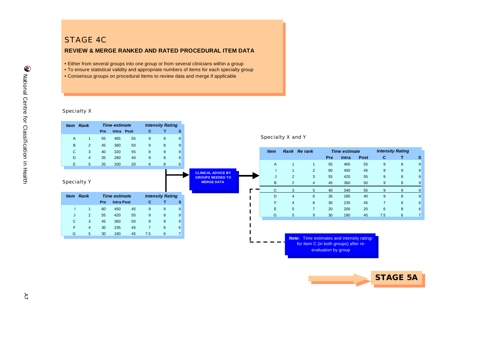## STAGE 4C

#### **REVIEW & MERGE RANKED AND RATED PROCEDURAL ITEM DATA**

- Either from several groups into one group or from several clinicians within a group
- To ensure statistical validity and appropriate numbers of items for each specialty group
- Consensus groups on procedural Items to review data and merge if applicable

#### Specialty X



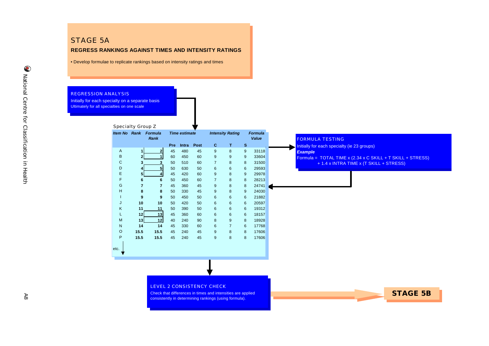#### **REGRESS RANKINGS AGAINST TIMES AND INTENSITY RATINGS**

• Develop formulae to replicate rankings based on intensity ratings and times

#### REGRESSION ANALYSIS

Initially for each specialty on a separate basis Ultimately for all specialties on one scale

|              |                | <b>Item No Rank Formula</b><br>Rank |            | <b>Time estimate</b> |      |                | <b>Intensity Rating</b> |   | <b>Formula</b><br>Value | <b>FORMULA TESTING</b>                                       |
|--------------|----------------|-------------------------------------|------------|----------------------|------|----------------|-------------------------|---|-------------------------|--------------------------------------------------------------|
|              |                |                                     | <b>Pre</b> | Intra                | Post | <b>C</b>       | т                       | s |                         |                                                              |
| $\mathsf{A}$ |                | $\mathbf{2}$                        | 45         | 480                  | 45   | 9              | 8                       | 9 | 33118                   | Initially for each specialty (ie 23 groups)                  |
| B            |                |                                     | 60         | 450                  | 60   | 9              | 9                       | 9 | 33604                   | <b>Example</b>                                               |
| C            |                |                                     | 50         | 510                  | 60   | $\overline{7}$ | 8                       | 8 | 31500                   | Formula = $TOTAL TIME x (2.34 x C SKILL + T SKILL + STRESS)$ |
| D            |                |                                     | 50         | 630                  | 50   | 6              | $\,6\,$                 | 6 | 29593                   | + 1.4 x INTRA TIME x (T SKILL + STRESS)                      |
| E            | 51             |                                     | 45         | 420                  | 60   | 9              | 8                       | 9 | 29978                   |                                                              |
| F            | 6              | 6                                   | 50         | 450                  | 60   | $\overline{7}$ | 8                       | 8 | 28213                   |                                                              |
| G            | $\overline{7}$ | $\overline{7}$                      | 45         | 360                  | 45   | 9              | 8                       | 8 | 24741                   |                                                              |
| H            | 8              | 8                                   | 50         | 330                  | 45   | 9              | 8                       | 9 | 24030                   |                                                              |
|              | 9              | 9                                   | 50         | 450                  | 50   | 6              | 6                       | 6 | 21882                   |                                                              |
| J            | 10             | 10                                  | 50         | 420                  | 50   | 6              | 6                       | 6 | 20597                   |                                                              |
| K            | 11             | 11                                  | 50         | 390                  | 50   | 6              | 6                       | 6 | 19312                   |                                                              |
| L            | 12             | 13                                  | 45         | 360                  | 60   | 6              | 6                       | 6 | 18157                   |                                                              |
| M            | 13             | 12                                  | 40         | 240                  | 90   | 8              | 9                       | 8 | 18928                   |                                                              |
| N            | 14             | 14                                  | 45         | 330                  | 60   | 6              | $\overline{7}$          | 6 | 17768                   |                                                              |
| O            | 15.5           | 15.5                                | 45         | 240                  | 45   | 9              | 8                       | 8 | 17606                   |                                                              |
| P            | 15.5           | 15.5                                | 45         | 240                  | 45   | 9              | 8                       | 8 | 17606                   |                                                              |

#### LEVEL 2 CONSISTENCY CHECK

Check that differences in times and intensities are applied consistently in determining rankings (using formula).

**STAGE 5B**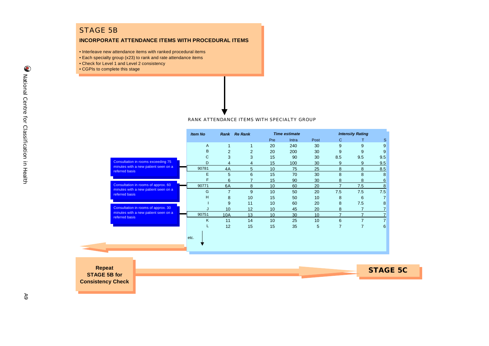## STAGE 5B

#### **INCORPORATE ATTENDANCE ITEMS WITH PROCEDURAL ITEMS**

- Interleave new attendance items with ranked procedural items
- Each specialty group (x23) to rank and rate attendance items
- Check for Level 1 and Level 2 consistency
- CGPIs to complete this stage

RANK ATTENDANCE ITEMS WITH SPECIALTY GROUP

|                                      |                                                        | <b>Item No</b> |                | Rank Re Rank |                 | <b>Time estimate</b> |            |                | <b>Intensity Rating</b> |                 |
|--------------------------------------|--------------------------------------------------------|----------------|----------------|--------------|-----------------|----------------------|------------|----------------|-------------------------|-----------------|
|                                      |                                                        |                |                |              | Pre             | Intra                | Post       | C              | Τ                       | S               |
|                                      |                                                        | A              | 1              |              | 20              | 240                  | 30         | 9              | 9                       | 9               |
|                                      |                                                        | B              | $\overline{2}$ | 2            | 20              | 200                  | 30         | 9              | 9                       | 9               |
|                                      |                                                        | C              | 3              | 3            | 15              | 90                   | 30         | 8.5            | 9.5                     | 9.5             |
|                                      | Consultation in rooms exceeding 75                     | D              | $\overline{4}$ | 4            | 15              | 100                  | 30         | 9              | $9\,$                   | 9.5             |
|                                      | minutes with a new patient seen on a<br>referred basis | 90781          | 4A             | 5            | 10 <sup>1</sup> | 75                   | 25         | 8              | 8                       | 8.5             |
|                                      |                                                        | Е              | 5              | 6            | 15              | 70                   | 30         | 8              | 8                       | 8               |
|                                      |                                                        | F              | 6              |              | 15              | 90                   | 30         | 8              | 8                       | <u>6</u>        |
|                                      | Consultation in rooms of approx. 60                    | 90771          | 6A             | 8            | 10              | 60                   | 20         | $\overline{7}$ | 7.5                     | 8               |
|                                      | minutes with a new patient seen on a<br>referred basis | G              | $\overline{7}$ | 9            | 10              | 50                   | 20         | 7.5            | 7.5                     | 7.5             |
|                                      |                                                        | н              | 8              | 10           | 15              | 50                   | 10         | 8              | 6                       | $\overline{7}$  |
|                                      |                                                        |                | 9              | 11           | 10              | 60                   | 20         | 8              | 7.5                     | 8               |
|                                      | Consultation in rooms of approx. 30                    |                | 10             | 12           | 10              | 45                   | 20         | 8              | $\overline{7}$          |                 |
|                                      | minutes with a new patient seen on a<br>referred basis | 90751          | 10A            | 13           | 10              | 30                   | 10         | $\overline{7}$ | $\overline{7}$          | $\overline{7}$  |
|                                      |                                                        | K              | 11             | 14           | 10              | 25                   | 10         | $6\phantom{1}$ | $\overline{7}$          | $\overline{7}$  |
|                                      |                                                        |                | 12             | 15           | 15              | 35                   | $\sqrt{5}$ | $\overline{7}$ | $\overline{7}$          | 6               |
|                                      |                                                        | etc.           |                |              |                 |                      |            |                |                         |                 |
| <b>Repeat</b><br><b>STAGE 5B for</b> |                                                        |                |                |              |                 |                      |            |                |                         | <b>STAGE 5C</b> |
| <b>Consistency Check</b>             |                                                        |                |                |              |                 |                      |            |                |                         |                 |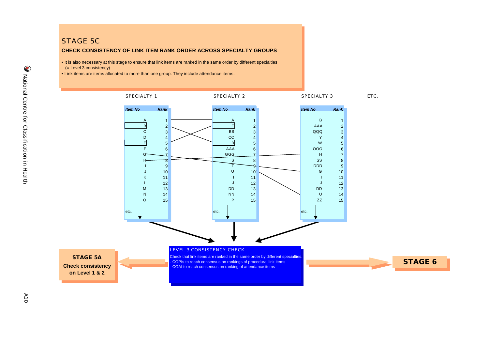#### STAGE 5C

#### **CHECK CONSISTENCY OF LINK ITEM RANK ORDER ACROSS SPECIALTY GROUPS**

• It is also necessary at this stage to ensure that link items are ranked in the same order by different specialties (= Level 3 consistency)

• Link items are items allocated to more than one group. They include attendance items.

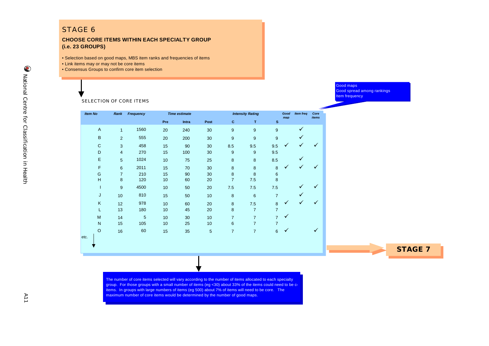### STAGE 6

#### **CHOOSE CORE ITEMS WITHIN EACH SPECIALTY GROUP (i.e. 23 GROUPS)**

• Selection based on good maps, MBS item ranks and frequencies of items

- Link items may or may not be core items
- Consensus Groups to confirm core item selection

Good maps Good spread among rankings Item frequency

SELECTION OF CORE ITEMS

| <b>Item No</b> | Rank           | Frequency      |     | <b>Time estimate</b> | <b>Intensity Rating</b> |                |                |                | Good<br>map  | <b>Item freq</b> | Core<br>items |
|----------------|----------------|----------------|-----|----------------------|-------------------------|----------------|----------------|----------------|--------------|------------------|---------------|
|                |                |                | Pre | Intra                | Post                    | c              | T              | $\mathbf s$    |              |                  |               |
| $\overline{A}$ | $\mathbf{1}$   | 1560           | 20  | 240                  | 30                      | 9              | 9              | 9              |              | ✓                |               |
| $\sf B$        | 2              | 555            | 20  | 200                  | 30                      | 9              | 9              | 9              |              | ✓                |               |
| $\mathbf C$    | 3              | 458            | 15  | 90                   | 30                      | 8.5            | 9.5            | 9.5            | $\checkmark$ | ✓                |               |
| D              | $\overline{4}$ | 270            | 15  | 100                  | 30                      | 9              | 9              | 9.5            |              |                  |               |
| E              | 5              | 1024           | 10  | 75                   | 25                      | 8              | 8              | 8.5            |              |                  |               |
| F              | 6              | 2011           | 15  | 70                   | 30                      | 8              | 8              | 8              | ✓            | ✓                |               |
| G              | $\overline{7}$ | 210            | 15  | 90                   | 30                      | 8              | 8              | $6\phantom{1}$ |              |                  |               |
| H              | 8              | 120            | 10  | 60                   | 20                      | $\overline{7}$ | 7.5            | 8              |              |                  |               |
| T              | 9              | 4500           | 10  | 50                   | 20                      | 7.5            | 7.5            | 7.5            |              |                  |               |
| J              | 10             | 810            | 15  | 50                   | 10                      | $\bf 8$        | $\,6\,$        | 7              |              |                  |               |
| K              | 12             | 978            | 10  | 60                   | 20                      | 8              | 7.5            | 8              | ✓            | ✓                |               |
| L              | 13             | 180            | 10  | 45                   | 20                      | 8              | $\overline{7}$ | $\overline{7}$ |              |                  |               |
| M              | 14             | $\overline{5}$ | 10  | 30                   | 10                      | $\overline{7}$ | $\overline{7}$ | $\overline{7}$ | $\checkmark$ |                  |               |
| $\mathsf{N}$   | 15             | 105            | 10  | 25                   | 10                      | 6              | $\overline{7}$ | $\overline{7}$ |              |                  |               |
| $\circ$        | 16             | 60             | 15  | 35                   | $\sqrt{5}$              | $\overline{7}$ | $\overline{7}$ | 6              | ✓            |                  |               |
| etc.           |                |                |     |                      |                         |                |                |                |              |                  |               |

**STAGE 7**

The number of core items selected will vary according to the number of items allocated to each specialty group. For those groups with a small number of items (eg <30) about 33% of the items could need to be co items. In groups with large numbers of items (eg 500) about 7% of items will need to be core. The maximum number of core items would be determined by the number of good maps.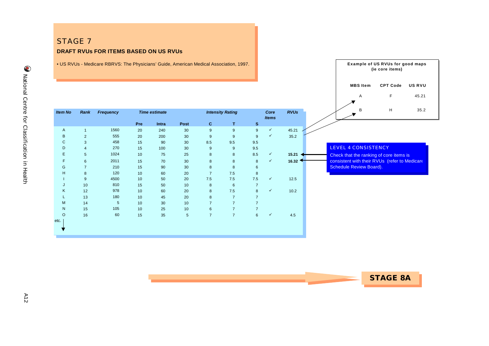## STAGE 7 **DRAFT RVUs FOR ITEMS BASED ON US RVUs**

• US RVUs - Medicare RBRVS: The Physicians' Guide, American Medical Association, 1997.

|                |                |           |     |                      |            |                |                         |                |                      |             | E<br>45.21<br>$\mathsf{A}$                    |
|----------------|----------------|-----------|-----|----------------------|------------|----------------|-------------------------|----------------|----------------------|-------------|-----------------------------------------------|
| <b>Item No</b> | Rank           | Frequency |     | <b>Time estimate</b> |            |                | <b>Intensity Rating</b> |                | Core<br><b>Items</b> | <b>RVUs</b> | H<br>35.2<br>B                                |
|                |                |           | Pre | Intra                | Post       | $\mathbf{C}$   | T                       | $\mathbf{s}$   |                      |             |                                               |
| $\mathsf{A}$   | $\mathbf{1}$   | 1560      | 20  | 240                  | 30         | 9              | 9                       | 9              | $\checkmark$         | 45.21       |                                               |
| B              | $\overline{2}$ | 555       | 20  | 200                  | 30         | 9              | 9                       | 9              | $\checkmark$         | 35.2        |                                               |
| $\mathsf{C}$   | 3              | 458       | 15  | 90                   | 30         | 8.5            | 9.5                     | 9.5            |                      |             |                                               |
| D              | $\overline{4}$ | 270       | 15  | 100                  | 30         | 9              | 9                       | 9.5            |                      |             | LEVEL 4 CONSISTENCY                           |
| E.             | 5              | 1024      | 10  | 75                   | 25         | 8              | 8                       | 8.5            | $\checkmark$         | 15.21       | Check that the ranking of core items is       |
| F.             | 6              | 2011      | 15  | 70                   | 30         | 8              | 8                       | 8              | $\checkmark$         | 16.32       | consistent with their RVUs (refer to Medicare |
| G              | $\overline{7}$ | 210       | 15  | 90                   | 30         | 8              | 8                       | 6              |                      |             | <b>Schedule Review Board).</b>                |
| H              | 8              | 120       | 10  | 60                   | 20         | $\overline{7}$ | 7.5                     | 8              |                      |             |                                               |
|                | 9              | 4500      | 10  | 50                   | 20         | 7.5            | 7.5                     | 7.5            | $\checkmark$         | 12.5        |                                               |
| J              | 10             | 810       | 15  | 50                   | 10         | 8              | 6                       | $\overline{7}$ |                      |             |                                               |
| K              | 12             | 978       | 10  | 60                   | 20         | 8              | 7.5                     | 8              | $\checkmark$         | 10.2        |                                               |
|                | 13             | 180       | 10  | 45                   | 20         | 8              | $\overline{7}$          | $\overline{7}$ |                      |             |                                               |
| M              | 14             | 5         | 10  | 30                   | 10         | $\overline{7}$ | $\overline{7}$          | $\overline{7}$ |                      |             |                                               |
| $\mathsf{N}$   | 15             | 105       | 10  | 25                   | 10         | 6              | $\overline{7}$          | $\overline{7}$ |                      |             |                                               |
| $\circ$        | 16             | 60        | 15  | 35                   | $\sqrt{5}$ | $\overline{7}$ | $\overline{7}$          | $6\phantom{1}$ | $\checkmark$         | 4.5         |                                               |
| etc.           |                |           |     |                      |            |                |                         |                |                      |             |                                               |
|                |                |           |     |                      |            |                |                         |                |                      |             |                                               |



**Example of US RVUs for good maps (ie core items)**

**MBS Item CPT Code US RVU**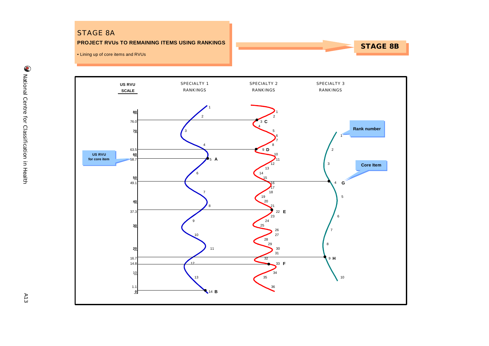## STAGE 8A

#### **PROJECT RVUs TO REMAINING ITEMS USING RANKINGS**

## **STAGE 8B**

• Lining up of core items and RVUs

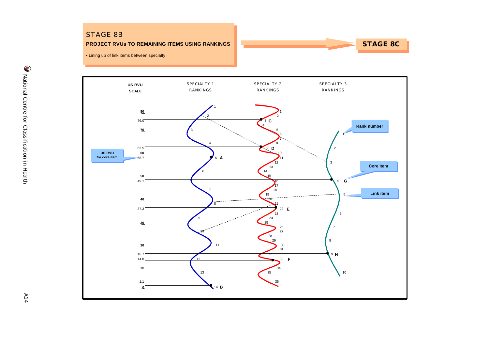### STAGE 8B

#### **PROJECT RVUs TO REMAINING ITEMS USING RANKINGS**

**STAGE 8C**

• Lining up of link items between specialty



 $A14$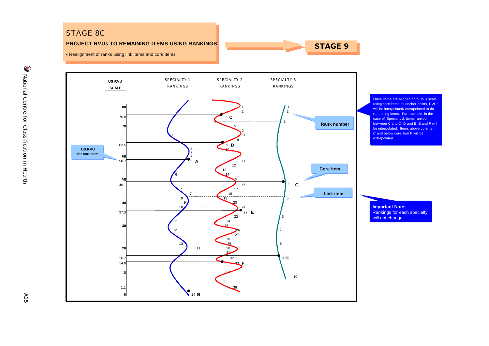## STAGE 8C

#### **PROJECT RVUs TO REMAINING ITEMS USING RANKINGS**

**STAGE 9**

• Realignment of ranks using link items and core items



 $AT5$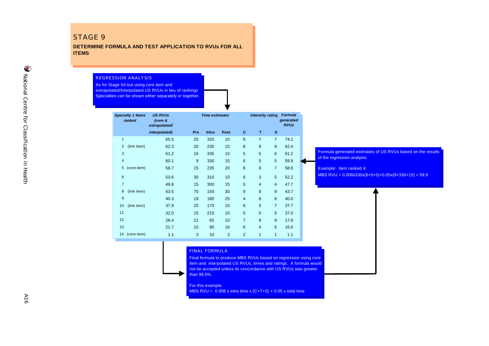#### STAGE 9

**DETERMINE FORMULA AND TEST APPLICATION TO RVUs FOR ALL ITEMS**

REGRESSION ANALYSIS

As for Stage 5A but using core item and extrapolated/interpolated US RVUs in lieu of rankings. Specialties can be shown either separately or together.

| <b>Specialty 1 Items</b><br>ranked |             | <b>US RVUs</b><br>(core &<br>extrapolated/ |     | <b>Time estimates</b> |                | <b>Intensity rating</b> |                | <b>Formula</b><br>generated<br><b>RVUs</b> |      |
|------------------------------------|-------------|--------------------------------------------|-----|-----------------------|----------------|-------------------------|----------------|--------------------------------------------|------|
|                                    |             | interpolated)                              | Pre | Intra                 | Post           | C                       | т              | S                                          |      |
| $\overline{1}$                     |             | 65.5                                       | 25  | 320                   | 10             | 8                       | $\overline{7}$ | $\overline{7}$                             | 74.1 |
| $\overline{2}$                     | (link item) | 62.3                                       | 20  | 235                   | 15             | 8                       | 9              | 9                                          | 62.4 |
| 3                                  |             | 61.2                                       | 16  | 335                   | 15             | 5                       | 5              | 6                                          | 61.2 |
| $\overline{4}$                     |             | 60.1                                       | 9   | 330                   | 15             | 6                       | 5              | 5                                          | 59.9 |
| 5                                  | (core item) | 58.7                                       | 15  | 235                   | 20             | 8                       | 9              | $\overline{7}$                             | 58.6 |
| $6\phantom{1}6$                    |             | 53.6                                       | 30  | 310                   | 10             | 6                       | 3              | 5                                          | 52.2 |
| $\overline{7}$                     |             | 46.8                                       | 15  | 300                   | 15             | 5                       | $\overline{4}$ | $\overline{4}$                             | 47.7 |
| 8                                  | (link item) | 43.5                                       | 70  | 150                   | 30             | 9                       | 8              | 9                                          | 43.7 |
| 9                                  |             | 40.3                                       | 19  | 180                   | 25             | $\overline{4}$          | 8              | 8                                          | 40.0 |
| 10                                 | (link item) | 37.9                                       | 25  | 170                   | 15             | 8                       | 5              | $\overline{7}$                             | 37.7 |
| 11                                 |             | 32.0                                       | 15  | 210                   | 10             | 5                       | 5              | 5                                          | 37.0 |
| 12                                 |             | 28.4                                       | 21  | 65                    | 10             | $\overline{7}$          | 9              | 9                                          | 17.8 |
| 13                                 |             | 21.7                                       | 10  | 90                    | 16             | 6                       | $\overline{4}$ | 5                                          | 16.6 |
| 14                                 | (core item) | 1.1                                        | 3   | 10                    | $\overline{2}$ | $\overline{2}$          | 1              | 1                                          | 1.1  |

Formula generated estimates of US RVUs based on the results of the regression analysis:

Example: Item ranked 4: MBS RVU =  $0.008x330x(6+5+5)+0.05x(9+330+15) = 59.9$ 

#### FINAL FORMULA

Final formula to produce MBS RVUs based on regression using core item and interpolated US RVUs, times and ratings. A formula would not be accepted unless its concordance with US RVUs was greater than 99.5%.

#### For this example:

MBS RVU =  $0.008$  x intra time x (C+T+S) +  $0.05$  x total time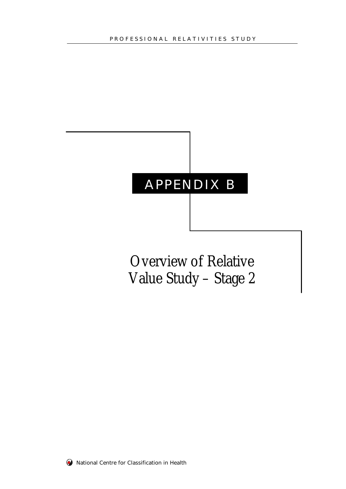# APPENDIX B

Overview of Relative Value Study – Stage 2

W National Centre for Classification in Health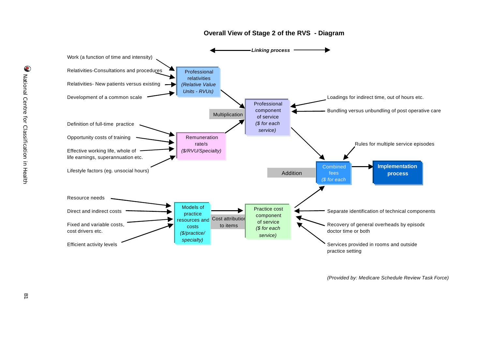

#### **Overall View of Stage 2 of the RVS - Diagram**

*(Provided by: Medicare Schedule Review Task Force)*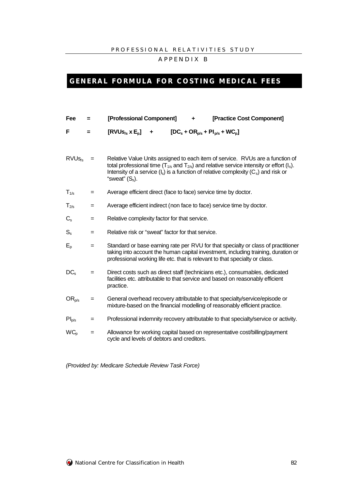#### PROFESSIONAL RELATIVITIES STUD Y

APPENDIX B

## **GENERAL FORMULA FOR COSTING MEDICAL FEES**

| Fee               | $=$ | [Professional Component]<br>[Practice Cost Component]<br>٠                                                                                                                                                                                                                                                       |  |  |  |  |  |  |
|-------------------|-----|------------------------------------------------------------------------------------------------------------------------------------------------------------------------------------------------------------------------------------------------------------------------------------------------------------------|--|--|--|--|--|--|
| F                 | Ξ   | $[RVUs_{/s} x E_{p}]$<br>$[DC_s + OR_{p/s} + PI_{p/s} + WC_p]$<br>٠                                                                                                                                                                                                                                              |  |  |  |  |  |  |
| RVUs <sub>s</sub> | $=$ | Relative Value Units assigned to each item of service. RVUs are a function of<br>total professional time ( $T_{1/5}$ and $T_{2/5}$ ) and relative service intensity or effort (I <sub>s</sub> ).<br>Intensity of a service $(I_s)$ is a function of relative complexity $(C_s)$ and risk or<br>"sweat" $(S_s)$ . |  |  |  |  |  |  |
| $T_{1/s}$         | =   | Average efficient direct (face to face) service time by doctor.                                                                                                                                                                                                                                                  |  |  |  |  |  |  |
| $T_{2/s}$         | $=$ | Average efficient indirect (non face to face) service time by doctor.                                                                                                                                                                                                                                            |  |  |  |  |  |  |
| $C_{\rm s}$       | $=$ | Relative complexity factor for that service.                                                                                                                                                                                                                                                                     |  |  |  |  |  |  |
| $S_{s}$           | $=$ | Relative risk or "sweat" factor for that service.                                                                                                                                                                                                                                                                |  |  |  |  |  |  |
| $E_{p}$           | $=$ | Standard or base earning rate per RVU for that specialty or class of practitioner<br>taking into account the human capital investment, including training, duration or<br>professional working life etc. that is relevant to that specialty or class.                                                            |  |  |  |  |  |  |
| $DC_s$            | $=$ | Direct costs such as direct staff (technicians etc.), consumables, dedicated<br>facilities etc. attributable to that service and based on reasonably efficient<br>practice.                                                                                                                                      |  |  |  |  |  |  |
| $OR_{p/s}$        | $=$ | General overhead recovery attributable to that specialty/service/episode or<br>mixture-based on the financial modelling of reasonably efficient practice.                                                                                                                                                        |  |  |  |  |  |  |
| $PI_{p/s}$        | $=$ | Professional indemnity recovery attributable to that specialty/service or activity.                                                                                                                                                                                                                              |  |  |  |  |  |  |
| $WC_p$            | $=$ | Allowance for working capital based on representative cost/billing/payment<br>cycle and levels of debtors and creditors.                                                                                                                                                                                         |  |  |  |  |  |  |

*(Provided by: Medicare Schedule Review Task Force)*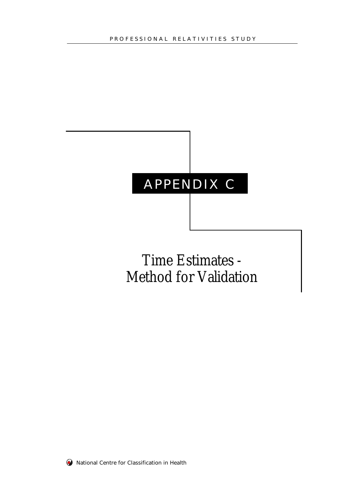# APPENDIX C

# Time Estimates - Method for Validation

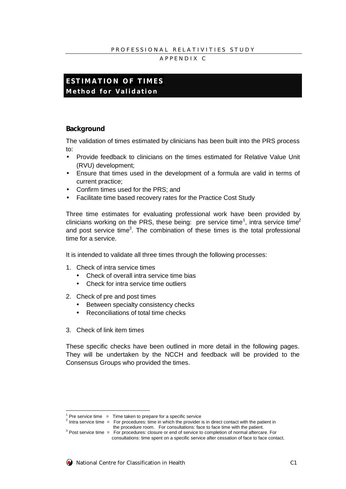#### PROFESSIONAL RELATIVITIES STUDY

#### APPENDIX C

## **ESTIMATION OF TIMES Method for Validation**

#### **Background**

The validation of times estimated by clinicians has been built into the PRS process to:

- Provide feedback to clinicians on the times estimated for Relative Value Unit (RVU) development;
- Ensure that times used in the development of a formula are valid in terms of current practice;
- Confirm times used for the PRS; and
- Facilitate time based recovery rates for the Practice Cost Study

Three time estimates for evaluating professional work have been provided by clinicians working on the PRS, these being: pre service time<sup>1</sup>, intra service time<sup>2</sup> and post service time<sup>3</sup>. The combination of these times is the total professional time for a service.

It is intended to validate all three times through the following processes:

- 1. Check of intra service times
	- Check of overall intra service time bias
	- Check for intra service time outliers
- 2. Check of pre and post times
	- Between specialty consistency checks
	- Reconciliations of total time checks
- 3. Check of link item times

These specific checks have been outlined in more detail in the following pages. They will be undertaken by the NCCH and feedback will be provided to the Consensus Groups who provided the times.

 $3$  Post service time  $=$  For procedures: closure or end of service to completion of normal aftercare. For consultations: time spent on a specific service after cessation of face to face contact.



 $\overline{a}$ 

 $1$  Pre service time  $=$  Time taken to prepare for a specific service

<sup>&</sup>lt;sup>2</sup> Intra service time  $=$  For procedures: time in which the provider is in direct contact with the patient in the procedure room. For consultations: face to face time with the patient.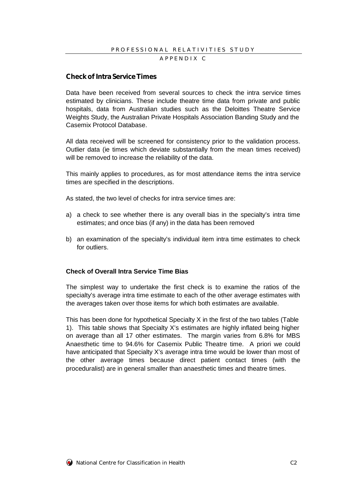#### **Checkof Intra ServiceTimes**

Data have been received from several sources to check the intra service times estimated by clinicians. These include theatre time data from private and public hospitals, data from Australian studies such as the Deloittes Theatre Service Weights Study, the Australian Private Hospitals Association Banding Study and the Casemix Protocol Database.

All data received will be screened for consistency prior to the validation process. Outlier data (ie times which deviate substantially from the mean times received) will be removed to increase the reliability of the data.

This mainly applies to procedures, as for most attendance items the intra service times are specified in the descriptions.

As stated, the two level of checks for intra service times are:

- a) a check to see whether there is any overall bias in the specialty's intra time estimates; and once bias (if any) in the data has been removed
- b) an examination of the specialty's individual item intra time estimates to check for outliers.

#### **Check of Overall Intra Service Time Bias**

The simplest way to undertake the first check is to examine the ratios of the specialty's average intra time estimate to each of the other average estimates with the averages taken over those items for which both estimates are available.

This has been done for hypothetical Specialty X in the first of the two tables (Table 1). This table shows that Specialty X's estimates are highly inflated being higher on average than all 17 other estimates. The margin varies from 6.8% for MBS Anaesthetic time to 94.6% for Casemix Public Theatre time. A priori we could have anticipated that Specialty X's average intra time would be lower than most of the other average times because direct patient contact times (with the proceduralist) are in general smaller than anaesthetic times and theatre times.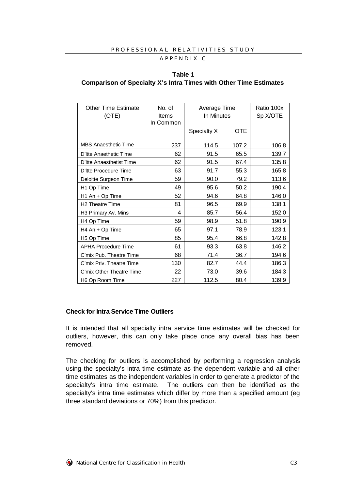#### PROFESSIONAL RELATIVITIES STUDY APPENDIX C

## **Table 1 Comparison of Specialty X's Intra Times with Other Time Estimates**

| <b>Other Time Estimate</b><br>(OTE) | No. of<br>Items<br>In Common | Average Time<br>In Minutes |            | Ratio 100x<br>Sp X/OTE |
|-------------------------------------|------------------------------|----------------------------|------------|------------------------|
|                                     |                              | Specialty X                | <b>OTE</b> |                        |
| <b>MBS Anaesthetic Time</b>         | 237                          | 114.5                      | 107.2      | 106.8                  |
| D'Itte Anaethetic Time              | 62                           | 91.5                       | 65.5       | 139.7                  |
| D'Itte Anaesthetist Time            | 62                           | 91.5                       | 67.4       | 135.8                  |
| D'Itte Procedure Time               | 63                           | 91.7                       | 55.3       | 165.8                  |
| Deloitte Surgeon Time               | 59                           | 90.0                       | 79.2       | 113.6                  |
| H1 Op Time                          | 49                           | 95.6                       | 50.2       | 190.4                  |
| H1 An + Op Time                     | 52                           | 94.6                       | 64.8       | 146.0                  |
| <b>H2 Theatre Time</b>              | 81                           | 96.5                       | 69.9       | 138.1                  |
| H3 Primary Av. Mins                 | 4                            | 85.7                       | 56.4       | 152.0                  |
| H4 Op Time                          | 59                           | 98.9                       | 51.8       | 190.9                  |
| H4 An + Op Time                     | 65                           | 97.1                       | 78.9       | 123.1                  |
| H <sub>5</sub> Op Time              | 85                           | 95.4                       | 66.8       | 142.8                  |
| <b>APHA Procedure Time</b>          | 61                           | 93.3                       | 63.8       | 146.2                  |
| C'mix Pub. Theatre Time             | 68                           | 71.4                       | 36.7       | 194.6                  |
| C'mix Priv. Theatre Time            | 130                          | 82.7                       | 44.4       | 186.3                  |
| C'mix Other Theatre Time            | 22                           | 73.0                       | 39.6       | 184.3                  |
| H6 Op Room Time                     | 227                          | 112.5                      | 80.4       | 139.9                  |

#### **Check for Intra Service Time Outliers**

It is intended that all specialty intra service time estimates will be checked for outliers, however, this can only take place once any overall bias has been removed.

The checking for outliers is accomplished by performing a regression analysis using the specialty's intra time estimate as the dependent variable and all other time estimates as the independent variables in order to generate a predictor of the specialty's intra time estimate. The outliers can then be identified as the specialty's intra time estimates which differ by more than a specified amount (eg three standard deviations or 70%) from this predictor.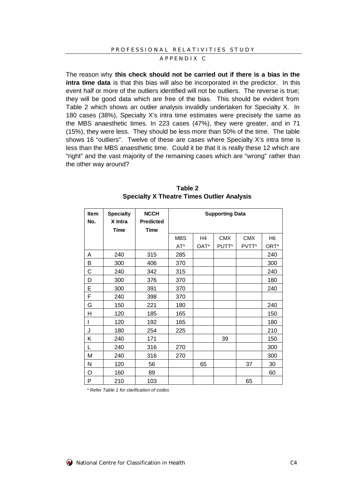#### APPENDIX C

The reason why **this check should not be carried out if there is a bias in the intra time data** is that this bias will also be incorporated in the predictor. In this event half or more of the outliers identified will not be outliers. The reverse is true; they will be good data which are free of the bias. This should be evident from Table 2 which shows an outlier analysis invalidly undertaken for Specialty X. In 180 cases (38%), Specialty X's intra time estimates were precisely the same as the MBS anaesthetic times. In 223 cases (47%), they were greater, and in 71 (15%), they were less. They should be less more than 50% of the time. The table shows 16 "outliers". Twelve of these are cases where Specialty X's intra time is less than the MBS anaesthetic time. Could it be that it is really these 12 which are "right" and the vast majority of the remaining cases which are "wrong" rather than the other way around?

| <b>Item</b><br>No. | <b>Specialty</b><br>X Intra<br><b>Time</b> | <b>NCCH</b><br><b>Predicted</b><br><b>Time</b> | <b>Supporting Data</b> |                |            |            |                |
|--------------------|--------------------------------------------|------------------------------------------------|------------------------|----------------|------------|------------|----------------|
|                    |                                            |                                                | <b>MBS</b>             | H <sub>4</sub> | <b>CMX</b> | <b>CMX</b> | H <sub>6</sub> |
|                    |                                            |                                                | AT*                    | OAT*           | PUTT*      | PVTT*      | ORT*           |
| A                  | 240                                        | 315                                            | 285                    |                |            |            | 240            |
| В                  | 300                                        | 406                                            | 370                    |                |            |            | 300            |
| С                  | 240                                        | 342                                            | 315                    |                |            |            | 240            |
| D                  | 300                                        | 376                                            | 370                    |                |            |            | 180            |
| E                  | 300                                        | 391                                            | 370                    |                |            |            | 240            |
| F                  | 240                                        | 398                                            | 370                    |                |            |            |                |
| G                  | 150                                        | 221                                            | 180                    |                |            |            | 240            |
| Η                  | 120                                        | 185                                            | 165                    |                |            |            | 150            |
|                    | 120                                        | 192                                            | 165                    |                |            |            | 180            |
| J                  | 180                                        | 254                                            | 225                    |                |            |            | 210            |
| Κ                  | 240                                        | 171                                            |                        |                | 39         |            | 150            |
| L                  | 240                                        | 316                                            | 270                    |                |            |            | 300            |
| M                  | 240                                        | 316                                            | 270                    |                |            |            | 300            |
| N                  | 120                                        | 56                                             |                        | 65             |            | 37         | 30             |
| O                  | 160                                        | 89                                             |                        |                |            |            | 60             |
| P                  | 210                                        | 103                                            |                        |                |            | 65         |                |

**Table 2 Specialty X Theatre Times Outlier Analysis**

*\* Refer Table 1 for clarification of codes*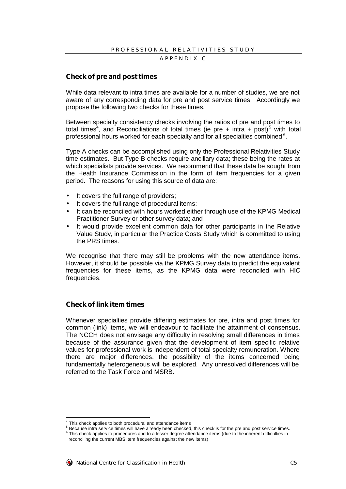#### APPENDIX C

#### **Check of pre and posttimes**

While data relevant to intra times are available for a number of studies, we are not aware of any corresponding data for pre and post service times. Accordingly we propose the following two checks for these times.

Between specialty consistency checks involving the ratios of pre and post times to total times<sup>4</sup>, and Reconciliations of total times (ie pre + intra + post)<sup>5</sup> with total professional hours worked for each specialty and for all specialties combined  $6$ .

Type A checks can be accomplished using only the Professional Relativities Study time estimates. But Type B checks require ancillary data; these being the rates at which specialists provide services. We recommend that these data be sought from the Health Insurance Commission in the form of item frequencies for a given period. The reasons for using this source of data are:

- It covers the full range of providers;
- It covers the full range of procedural items;
- It can be reconciled with hours worked either through use of the KPMG Medical Practitioner Survey or other survey data; and
- It would provide excellent common data for other participants in the Relative Value Study, in particular the Practice Costs Study which is committed to using the PRS times.

We recognise that there may still be problems with the new attendance items. However, it should be possible via the KPMG Survey data to predict the equivalent frequencies for these items, as the KPMG data were reconciled with HIC frequencies.

#### **Check of link item times**

Whenever specialties provide differing estimates for pre, intra and post times for common (link) items, we will endeavour to facilitate the attainment of consensus. The NCCH does not envisage any difficulty in resolving small differences in times because of the assurance given that the development of item specific relative values for professional work is independent of total specialty remuneration. Where there are major differences, the possibility of the items concerned being fundamentally heterogeneous will be explored. Any unresolved differences will be referred to the Task Force and MSRB.

<sup>&</sup>lt;sup>4</sup> This check applies to both procedural and attendance items

 $<sup>5</sup>$  Because intra service times will have already been checked, this check is for the pre and post service times.</sup>

 $^6$  This check applies to procedures and to a lesser degree attendance items (due to the inherent difficulties in reconciling the current MBS item frequencies against the new items)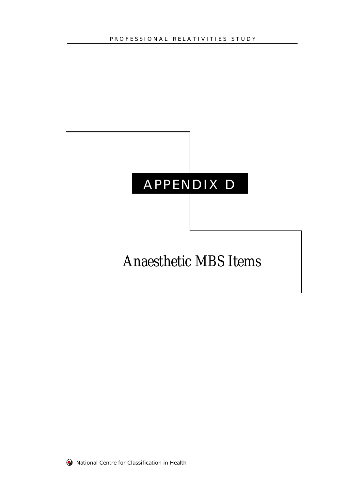# APPENDIX D

# Anaesthetic MBS Items

**W** National Centre for Classification in Health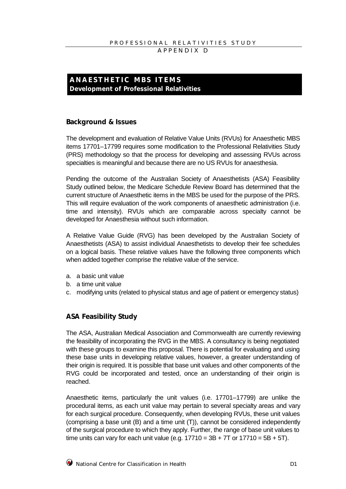## **ANAESTHETIC MBS ITEM S Development of Professional Relativities**

#### **Background & Issues**

The development and evaluation of Relative Value Units (RVUs) for Anaesthetic MBS items 17701–17799 requires some modification to the Professional Relativities Study (PRS) methodology so that the process for developing and assessing RVUs across specialties is meaningful and because there are no US RVUs for anaesthesia.

Pending the outcome of the Australian Society of Anaesthetists (ASA) Feasibility Study outlined below, the Medicare Schedule Review Board has determined that the current structure of Anaesthetic items in the MBS be used for the purpose of the PRS. This will require evaluation of the work components of anaesthetic administration (i.e. time and intensity). RVUs which are comparable across specialty cannot be developed for Anaesthesia without such information.

A Relative Value Guide (RVG) has been developed by the Australian Society of Anaesthetists (ASA) to assist individual Anaesthetists to develop their fee schedules on a logical basis. These relative values have the following three components which when added together comprise the relative value of the service.

- a. a basic unit value
- b. a time unit value
- c. modifying units (related to physical status and age of patient or emergency status)

## **ASA Feasibility Study**

The ASA, Australian Medical Association and Commonwealth are currently reviewing the feasibility of incorporating the RVG in the MBS. A consultancy is being negotiated with these groups to examine this proposal. There is potential for evaluating and using these base units in developing relative values, however, a greater understanding of their origin is required. It is possible that base unit values and other components of the RVG could be incorporated and tested, once an understanding of their origin is reached.

Anaesthetic items, particularly the unit values (i.e. 17701–17799) are unlike the procedural items, as each unit value may pertain to several specialty areas and vary for each surgical procedure. Consequently, when developing RVUs, these unit values (comprising a base unit (B) and a time unit (T)), cannot be considered independently of the surgical procedure to which they apply. Further, the range of base unit values to time units can vary for each unit value (e.g.  $17710 = 3B + 7T$  or  $17710 = 5B + 5T$ ).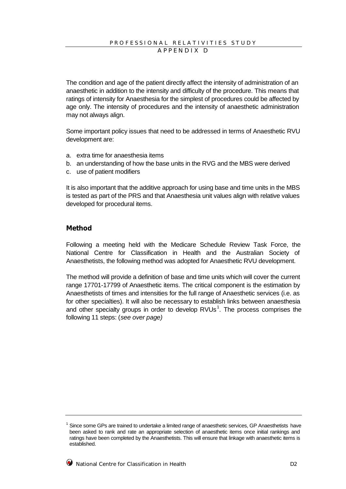The condition and age of the patient directly affect the intensity of administration of an anaesthetic in addition to the intensity and difficulty of the procedure. This means that ratings of intensity for Anaesthesia for the simplest of procedures could be affected by age only. The intensity of procedures and the intensity of anaesthetic administration may not always align.

Some important policy issues that need to be addressed in terms of Anaesthetic RVU development are:

- a. extra time for anaesthesia items
- b. an understanding of how the base units in the RVG and the MBS were derived
- c. use of patient modifiers

It is also important that the additive approach for using base and time units in the MBS is tested as part of the PRS and that Anaesthesia unit values align with relative values developed for procedural items.

#### **Method**

Following a meeting held with the Medicare Schedule Review Task Force, the National Centre for Classification in Health and the Australian Society of Anaesthetists, the following method was adopted for Anaesthetic RVU development.

The method will provide a definition of base and time units which will cover the current range 17701-17799 of Anaesthetic items. The critical component is the estimation by Anaesthetists of times and intensities for the full range of Anaesthetic services (i.e. as for other specialties). It will also be necessary to establish links between anaesthesia and other specialty groups in order to develop  $RVUs^1$ . The process comprises the following 11 steps: (*see over page)*

<sup>1</sup> Since some GPs are trained to undertake a limited range of anaesthetic services, GP Anaesthetists have been asked to rank and rate an appropriate selection of anaesthetic items once initial rankings and ratings have been completed by the Anaesthetists. This will ensure that linkage with anaesthetic items is established.

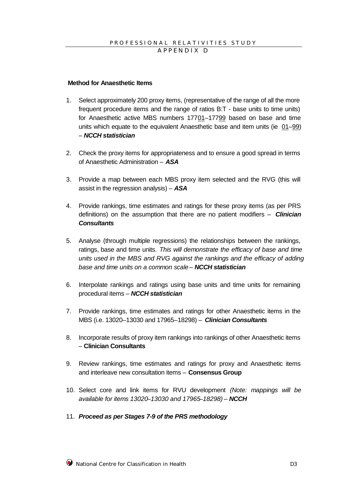#### **Method for Anaesthetic Items**

- 1. Select approximately 200 proxy items, (representative of the range of all the more frequent procedure items and the range of ratios B:T - base units to time units) for Anaesthetic active MBS numbers 17701–17799 based on base and time units which equate to the equivalent Anaesthetic base and item units (ie 01–99) – *NCCH statistician*
- 2. Check the proxy items for appropriateness and to ensure a good spread in terms of Anaesthetic Administration – *ASA*
- 3. Provide a map between each MBS proxy item selected and the RVG (this will assist in the regression analysis) – *ASA*
- 4. Provide rankings, time estimates and ratings for these proxy items (as per PRS definitions) on the assumption that there are no patient modifiers – *Clinician Consultants*
- 5. Analyse (through multiple regressions) the relationships between the rankings, ratings, base and time units. *This will demonstrate the efficacy of base and time units used in the MBS and RVG against the rankings and the efficacy of adding base and time units on a common scale* – *NCCH statistician*
- 6. Interpolate rankings and ratings using base units and time units for remaining procedural items – *NCCH statistician*
- 7. Provide rankings, time estimates and ratings for other Anaesthetic items in the MBS (i.e. 13020–13030 and 17965–18298) – *Clinician Consultants*
- 8. Incorporate results of proxy item rankings into rankings of other Anaesthetic items – **Clinician Consultants**
- 9. Review rankings, time estimates and ratings for proxy and Anaesthetic items and interleave new consultation items – **Consensus Group**
- 10. Select core and link items for RVU development *(Note: mappings will be available for items 13020*–*13030 and 17965*–*18298)* – *NCCH*
- 11. *Proceed as per Stages 7-9 of the PRS methodology*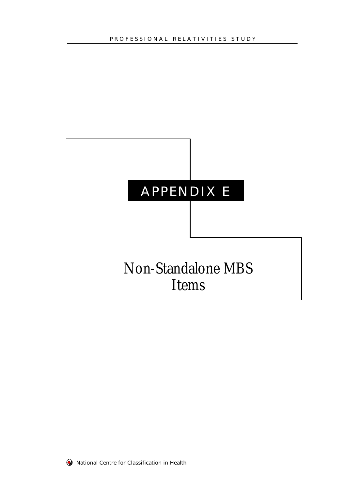# APPENDIX E

# Non-Standalone MBS Items

**W** National Centre for Classification in Health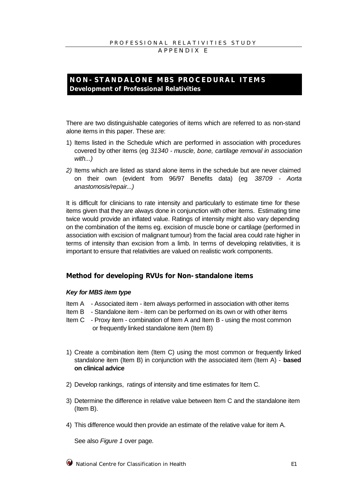APPENDIX E

## **NON-STANDALONE MBS PROCEDURAL ITEM S Development of Professional Relativities**

There are two distinguishable categories of items which are referred to as non-stand alone items in this paper. These are:

- 1) Items listed in the Schedule which are performed in association with procedures covered by other items (eg *31340 - muscle, bone, cartilage removal in association with...)*
- *2)* Items which are listed as stand alone items in the schedule but are never claimed on their own (evident from 96/97 Benefits data) (eg *38709 - Aorta anastomosis/repair...)*

It is difficult for clinicians to rate intensity and particularly to estimate time for these items given that they are always done in conjunction with other items. Estimating time twice would provide an inflated value. Ratings of intensity might also vary depending on the combination of the items eg. excision of muscle bone or cartilage (performed in association with excision of malignant tumour) from the facial area could rate higher in terms of intensity than excision from a limb. In terms of developing relativities, it is important to ensure that relativities are valued on realistic work components.

### **Method for developing RVUs for Non-standalone items**

#### *Key for MBS item type*

- Item A Associated item item always performed in association with other items
- Item B Standalone item item can be performed on its own or with other items
- Item C Proxy item combination of Item A and Item B using the most common or frequently linked standalone item (Item B)
- 1) Create a combination item (Item C) using the most common or frequently linked standalone item (Item B) in conjunction with the associated item (Item A) - **based on clinical advice**
- 2) Develop rankings, ratings of intensity and time estimates for Item C.
- 3) Determine the difference in relative value between Item C and the standalone item (Item B).
- 4) This difference would then provide an estimate of the relative value for item A.

See also *Figure 1* over page*.*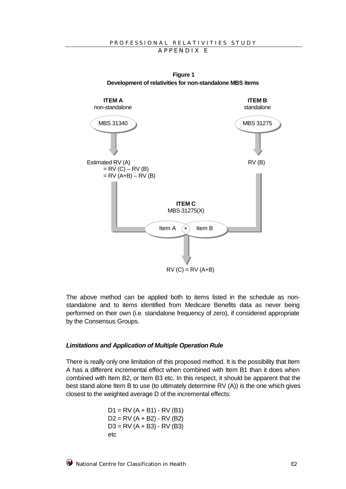

**Figure 1 Development of relativities for non-standalone MBS items**

The above method can be applied both to items listed in the schedule as nonstandalone and to items identified from Medicare Benefits data as never being performed on their own (i.e. standalone frequency of zero), if considered appropriate by the Consensus Groups.

#### *Limitations and Application of Multiple Operation Rule*

There is really only one limitation of this proposed method. It is the possibility that Item A has a different incremental effect when combined with Item B1 than it does when combined with Item B2, or Item B3 etc. In this respect, it should be apparent that the best stand alone Item B to use (to ultimately determine RV (A)) is the one which gives closest to the weighted average D of the incremental effects:

> $D1 = RV (A + B1) - RV (B1)$  $D2 = RV (A + B2) - RV (B2)$  $D3 = RV (A + B3) - RV (B3)$ etc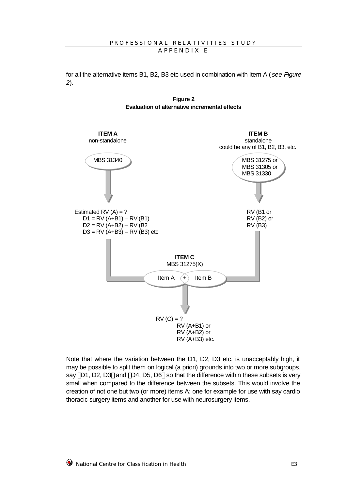for all the alternative items B1, B2, B3 etc used in combination with Item A (*see Figure 2*).





Note that where the variation between the D1, D2, D3 etc. is unacceptably high, it may be possible to split them on logical (a priori) grounds into two or more subgroups, say  $\{D1, D2, D3\}$  and  $\{D4, D5, D6\}$  so that the difference within these subsets is very small when compared to the difference between the subsets. This would involve the creation of not one but two (or more) items A: one for example for use with say cardio thoracic surgery items and another for use with neurosurgery items.